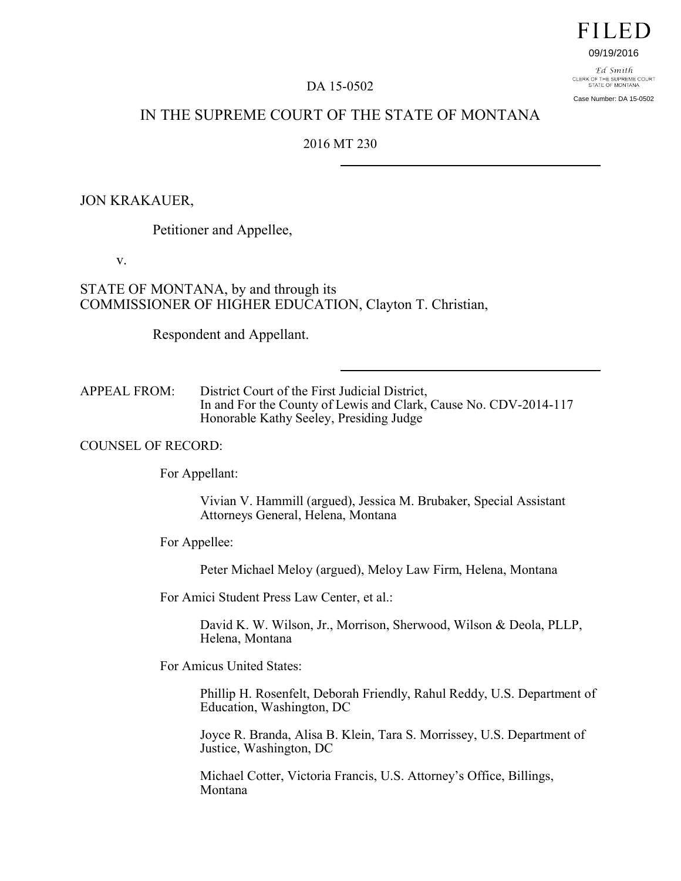# **FILED**

#### 09/19/2016

F.d. Smith CLERK OF THE SUPREME COURT<br>STATE OF MONTANA Case Number: DA 15-0502

## DA 15-0502

# IN THE SUPREME COURT OF THE STATE OF MONTANA

## 2016 MT 230

## JON KRAKAUER,

Petitioner and Appellee,

v.

## STATE OF MONTANA, by and through its COMMISSIONER OF HIGHER EDUCATION, Clayton T. Christian,

Respondent and Appellant.

APPEAL FROM: District Court of the First Judicial District, In and For the County of Lewis and Clark, Cause No. CDV-2014-117 Honorable Kathy Seeley, Presiding Judge

#### COUNSEL OF RECORD:

For Appellant:

Vivian V. Hammill (argued), Jessica M. Brubaker, Special Assistant Attorneys General, Helena, Montana

For Appellee:

Peter Michael Meloy (argued), Meloy Law Firm, Helena, Montana

For Amici Student Press Law Center, et al.:

David K. W. Wilson, Jr., Morrison, Sherwood, Wilson & Deola, PLLP, Helena, Montana

For Amicus United States:

Phillip H. Rosenfelt, Deborah Friendly, Rahul Reddy, U.S. Department of Education, Washington, DC

Joyce R. Branda, Alisa B. Klein, Tara S. Morrissey, U.S. Department of Justice, Washington, DC

Michael Cotter, Victoria Francis, U.S. Attorney's Office, Billings, Montana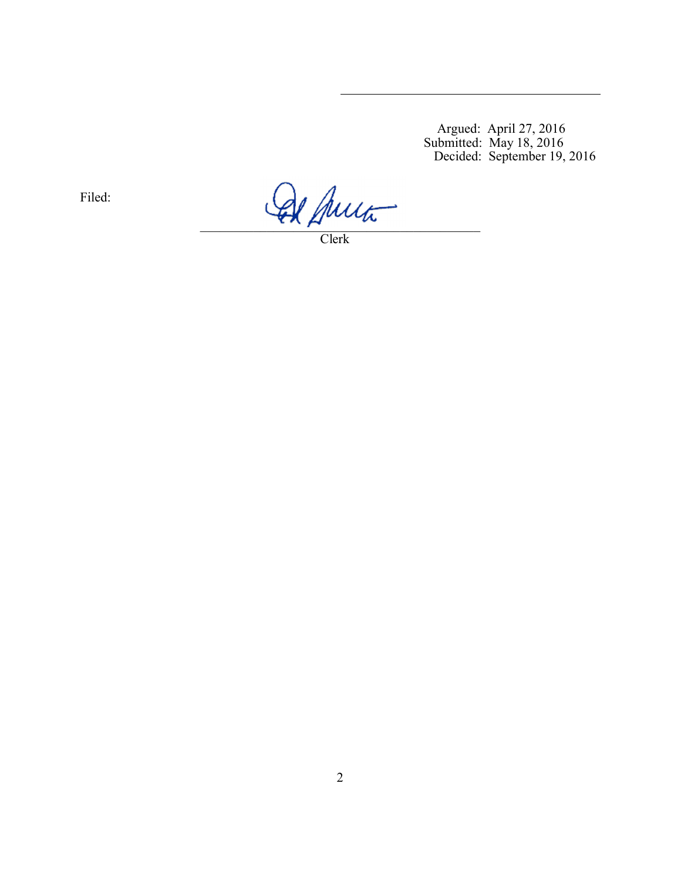Argued: April 27, 2016 Submitted: May 18, 2016 Decided: September 19, 2016

Filed:

 $\mathcal{L} \wedge \mathcal{L}$ 

Clerk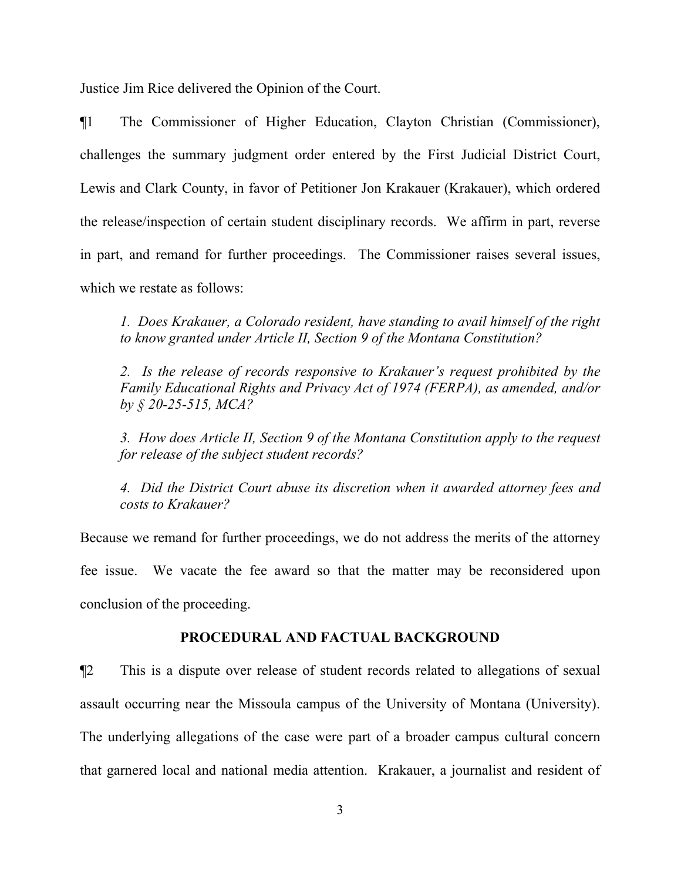Justice Jim Rice delivered the Opinion of the Court.

¶1 The Commissioner of Higher Education, Clayton Christian (Commissioner), challenges the summary judgment order entered by the First Judicial District Court, Lewis and Clark County, in favor of Petitioner Jon Krakauer (Krakauer), which ordered the release/inspection of certain student disciplinary records. We affirm in part, reverse in part, and remand for further proceedings. The Commissioner raises several issues, which we restate as follows:

*1. Does Krakauer, a Colorado resident, have standing to avail himself of the right to know granted under Article II, Section 9 of the Montana Constitution?* 

*2. Is the release of records responsive to Krakauer's request prohibited by the Family Educational Rights and Privacy Act of 1974 (FERPA), as amended, and/or by § 20-25-515, MCA?* 

*3. How does Article II, Section 9 of the Montana Constitution apply to the request for release of the subject student records?* 

*4. Did the District Court abuse its discretion when it awarded attorney fees and costs to Krakauer?* 

Because we remand for further proceedings, we do not address the merits of the attorney fee issue. We vacate the fee award so that the matter may be reconsidered upon conclusion of the proceeding.

### **PROCEDURAL AND FACTUAL BACKGROUND**

¶2 This is a dispute over release of student records related to allegations of sexual assault occurring near the Missoula campus of the University of Montana (University). The underlying allegations of the case were part of a broader campus cultural concern that garnered local and national media attention. Krakauer, a journalist and resident of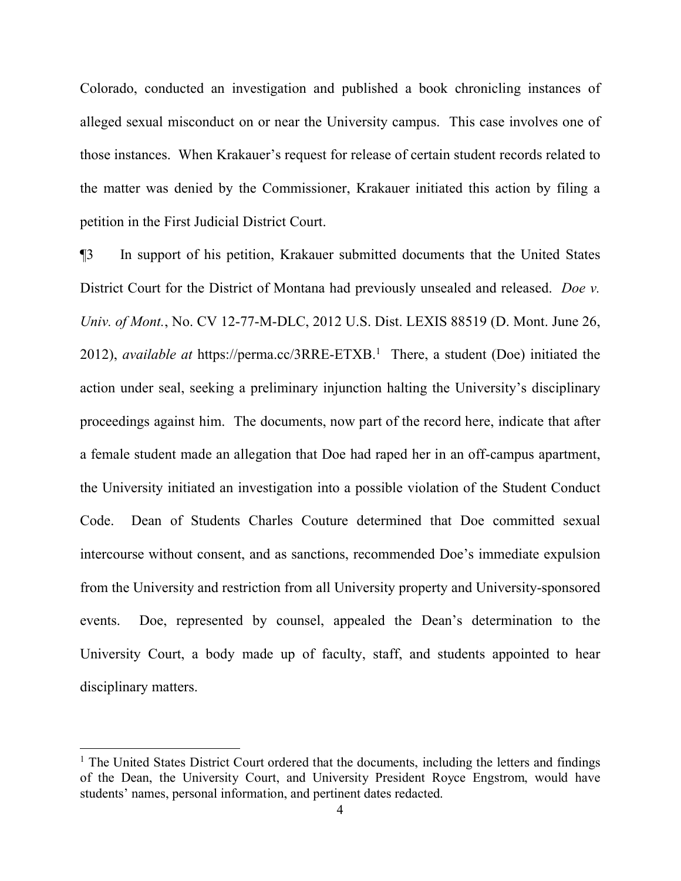Colorado, conducted an investigation and published a book chronicling instances of alleged sexual misconduct on or near the University campus. This case involves one of those instances. When Krakauer's request for release of certain student records related to the matter was denied by the Commissioner, Krakauer initiated this action by filing a petition in the First Judicial District Court.

¶3 In support of his petition, Krakauer submitted documents that the United States District Court for the District of Montana had previously unsealed and released. *Doe v. Univ. of Mont.*, No. CV 12-77-M-DLC, 2012 U.S. Dist. LEXIS 88519 (D. Mont. June 26, 2012), *available at* https://perma.cc/3RRE-ETXB.[1](#page-3-0) There, a student (Doe) initiated the action under seal, seeking a preliminary injunction halting the University's disciplinary proceedings against him. The documents, now part of the record here, indicate that after a female student made an allegation that Doe had raped her in an off-campus apartment, the University initiated an investigation into a possible violation of the Student Conduct Code. Dean of Students Charles Couture determined that Doe committed sexual intercourse without consent, and as sanctions, recommended Doe's immediate expulsion from the University and restriction from all University property and University-sponsored events. Doe, represented by counsel, appealed the Dean's determination to the University Court, a body made up of faculty, staff, and students appointed to hear disciplinary matters.

<span id="page-3-0"></span> $<sup>1</sup>$  The United States District Court ordered that the documents, including the letters and findings</sup> of the Dean, the University Court, and University President Royce Engstrom, would have students' names, personal information, and pertinent dates redacted.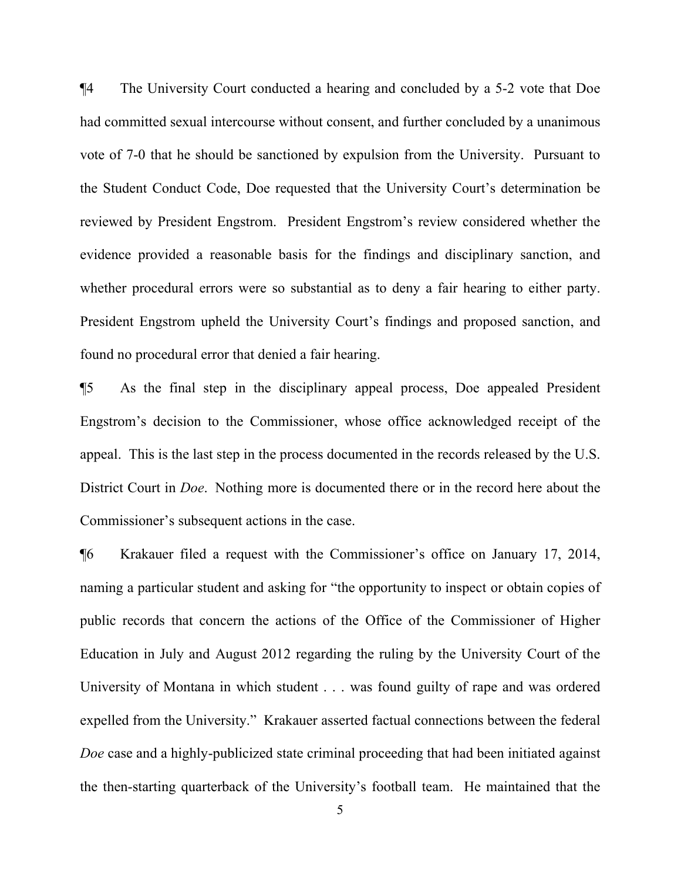¶4 The University Court conducted a hearing and concluded by a 5-2 vote that Doe had committed sexual intercourse without consent, and further concluded by a unanimous vote of 7-0 that he should be sanctioned by expulsion from the University. Pursuant to the Student Conduct Code, Doe requested that the University Court's determination be reviewed by President Engstrom. President Engstrom's review considered whether the evidence provided a reasonable basis for the findings and disciplinary sanction, and whether procedural errors were so substantial as to deny a fair hearing to either party. President Engstrom upheld the University Court's findings and proposed sanction, and found no procedural error that denied a fair hearing.

¶5 As the final step in the disciplinary appeal process, Doe appealed President Engstrom's decision to the Commissioner, whose office acknowledged receipt of the appeal. This is the last step in the process documented in the records released by the U.S. District Court in *Doe*. Nothing more is documented there or in the record here about the Commissioner's subsequent actions in the case.

¶6 Krakauer filed a request with the Commissioner's office on January 17, 2014, naming a particular student and asking for "the opportunity to inspect or obtain copies of public records that concern the actions of the Office of the Commissioner of Higher Education in July and August 2012 regarding the ruling by the University Court of the University of Montana in which student . . . was found guilty of rape and was ordered expelled from the University." Krakauer asserted factual connections between the federal *Doe* case and a highly-publicized state criminal proceeding that had been initiated against the then-starting quarterback of the University's football team. He maintained that the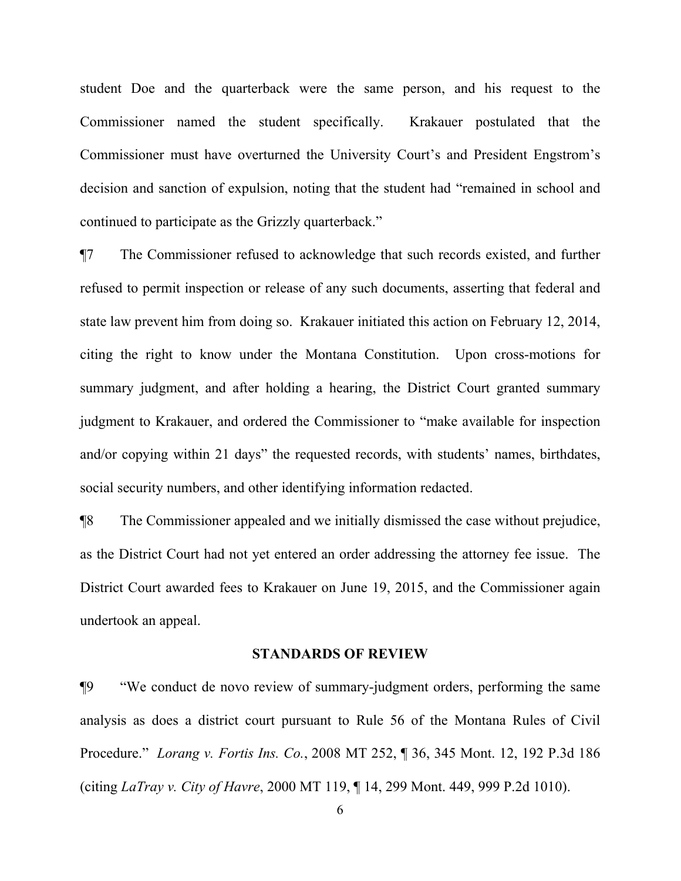student Doe and the quarterback were the same person, and his request to the Commissioner named the student specifically. Krakauer postulated that the Commissioner must have overturned the University Court's and President Engstrom's decision and sanction of expulsion, noting that the student had "remained in school and continued to participate as the Grizzly quarterback."

¶7 The Commissioner refused to acknowledge that such records existed, and further refused to permit inspection or release of any such documents, asserting that federal and state law prevent him from doing so. Krakauer initiated this action on February 12, 2014, citing the right to know under the Montana Constitution. Upon cross-motions for summary judgment, and after holding a hearing, the District Court granted summary judgment to Krakauer, and ordered the Commissioner to "make available for inspection and/or copying within 21 days" the requested records, with students' names, birthdates, social security numbers, and other identifying information redacted.

¶8 The Commissioner appealed and we initially dismissed the case without prejudice, as the District Court had not yet entered an order addressing the attorney fee issue. The District Court awarded fees to Krakauer on June 19, 2015, and the Commissioner again undertook an appeal.

#### **STANDARDS OF REVIEW**

¶9 "We conduct de novo review of summary-judgment orders, performing the same analysis as does a district court pursuant to Rule 56 of the Montana Rules of Civil Procedure." *Lorang v. Fortis Ins. Co.*, 2008 MT 252, ¶ 36, 345 Mont. 12, 192 P.3d 186 (citing *LaTray v. City of Havre*, 2000 MT 119, ¶ 14, 299 Mont. 449, 999 P.2d 1010).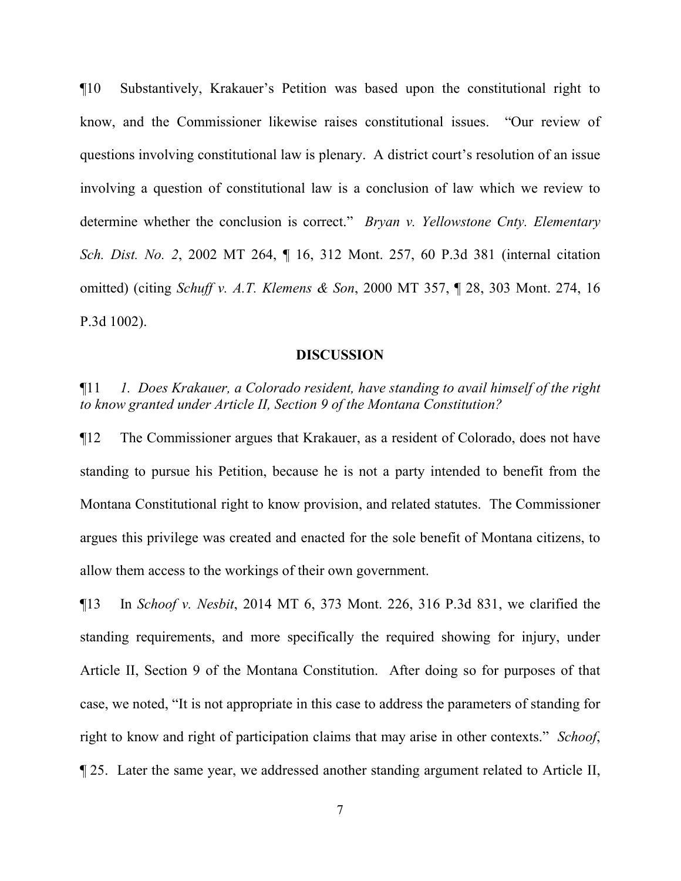¶10 Substantively, Krakauer's Petition was based upon the constitutional right to know, and the Commissioner likewise raises constitutional issues. "Our review of questions involving constitutional law is plenary. A district court's resolution of an issue involving a question of constitutional law is a conclusion of law which we review to determine whether the conclusion is correct." *Bryan v. Yellowstone Cnty. Elementary Sch. Dist. No. 2*, 2002 MT 264, ¶ 16, 312 Mont. 257, 60 P.3d 381 (internal citation omitted) (citing *Schuff v. A.T. Klemens & Son*, 2000 MT 357, ¶ 28, 303 Mont. 274, 16 P.3d 1002).

#### **DISCUSSION**

¶11 *1. Does Krakauer, a Colorado resident, have standing to avail himself of the right to know granted under Article II, Section 9 of the Montana Constitution?* 

¶12 The Commissioner argues that Krakauer, as a resident of Colorado, does not have standing to pursue his Petition, because he is not a party intended to benefit from the Montana Constitutional right to know provision, and related statutes. The Commissioner argues this privilege was created and enacted for the sole benefit of Montana citizens, to allow them access to the workings of their own government.

¶13 In *Schoof v. Nesbit*, 2014 MT 6, 373 Mont. 226, 316 P.3d 831, we clarified the standing requirements, and more specifically the required showing for injury, under Article II, Section 9 of the Montana Constitution. After doing so for purposes of that case, we noted, "It is not appropriate in this case to address the parameters of standing for right to know and right of participation claims that may arise in other contexts." *Schoof*, ¶ 25. Later the same year, we addressed another standing argument related to Article II,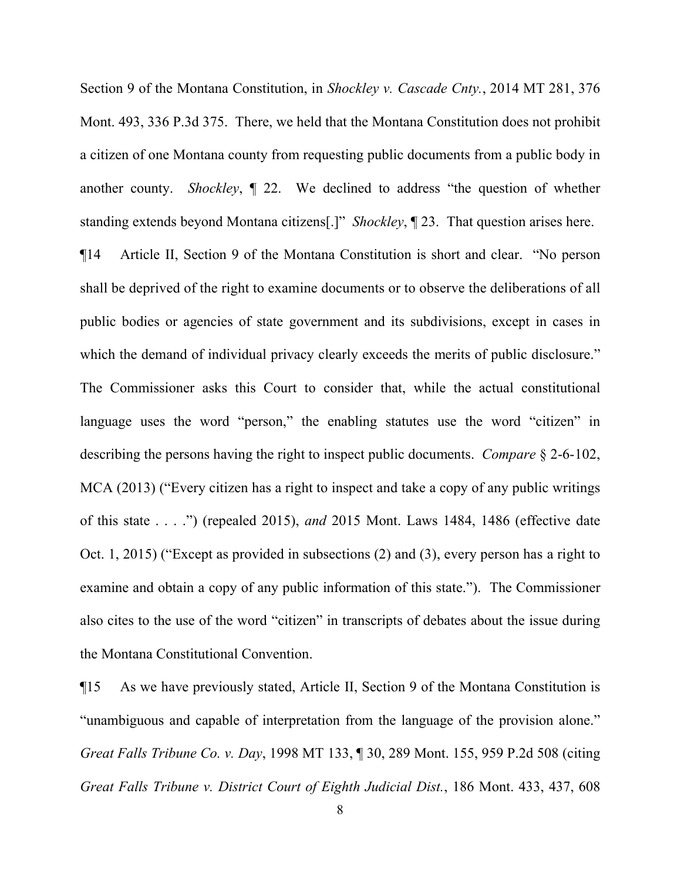Section 9 of the Montana Constitution, in *Shockley v. Cascade Cnty.*, 2014 MT 281, 376 Mont. 493, 336 P.3d 375. There, we held that the Montana Constitution does not prohibit a citizen of one Montana county from requesting public documents from a public body in another county. *Shockley*, ¶ 22. We declined to address "the question of whether standing extends beyond Montana citizens[.]" *Shockley*, ¶ 23. That question arises here.

¶14 Article II, Section 9 of the Montana Constitution is short and clear. "No person shall be deprived of the right to examine documents or to observe the deliberations of all public bodies or agencies of state government and its subdivisions, except in cases in which the demand of individual privacy clearly exceeds the merits of public disclosure." The Commissioner asks this Court to consider that, while the actual constitutional language uses the word "person," the enabling statutes use the word "citizen" in describing the persons having the right to inspect public documents. *Compare* § 2-6-102, MCA (2013) ("Every citizen has a right to inspect and take a copy of any public writings of this state . . . .") (repealed 2015), *and* 2015 Mont. Laws 1484, 1486 (effective date Oct. 1, 2015) ("Except as provided in subsections (2) and (3), every person has a right to examine and obtain a copy of any public information of this state."). The Commissioner also cites to the use of the word "citizen" in transcripts of debates about the issue during the Montana Constitutional Convention.

¶15 As we have previously stated, Article II, Section 9 of the Montana Constitution is "unambiguous and capable of interpretation from the language of the provision alone." *Great Falls Tribune Co. v. Day*, 1998 MT 133, ¶ 30, 289 Mont. 155, 959 P.2d 508 (citing *Great Falls Tribune v. District Court of Eighth Judicial Dist.*, 186 Mont. 433, 437, 608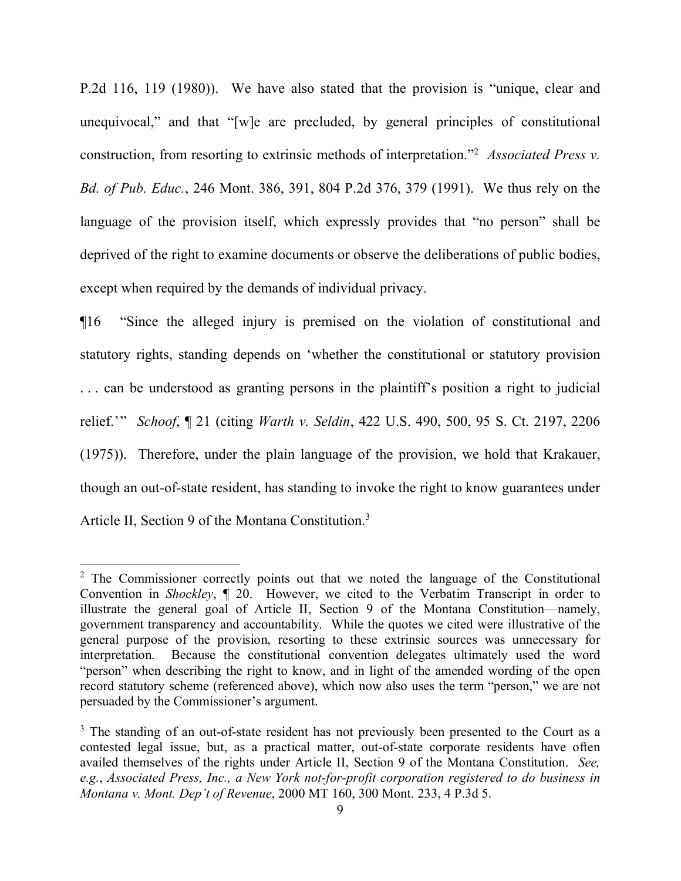P.2d 116, 119 (1980)). We have also stated that the provision is "unique, clear and unequivocal," and that "[w]e are precluded, by general principles of constitutional construction, from resorting to extrinsic methods of interpretation."[2](#page-8-0) *Associated Press v. Bd. of Pub. Educ.*, 246 Mont. 386, 391, 804 P.2d 376, 379 (1991). We thus rely on the language of the provision itself, which expressly provides that "no person" shall be deprived of the right to examine documents or observe the deliberations of public bodies, except when required by the demands of individual privacy.

¶16 "Since the alleged injury is premised on the violation of constitutional and statutory rights, standing depends on 'whether the constitutional or statutory provision . . . can be understood as granting persons in the plaintiff's position a right to judicial relief.'" *Schoof*, ¶ 21 (citing *Warth v. Seldin*, 422 U.S. 490, 500, 95 S. Ct. 2197, 2206 (1975)). Therefore, under the plain language of the provision, we hold that Krakauer, though an out-of-state resident, has standing to invoke the right to know guarantees under Article II, Section 9 of the Montana Constitution.<sup>[3](#page-8-1)</sup>

<span id="page-8-0"></span><sup>&</sup>lt;sup>2</sup> The Commissioner correctly points out that we noted the language of the Constitutional Convention in *Shockley*, ¶ 20. However, we cited to the Verbatim Transcript in order to illustrate the general goal of Article II, Section 9 of the Montana Constitution—namely, government transparency and accountability. While the quotes we cited were illustrative of the general purpose of the provision, resorting to these extrinsic sources was unnecessary for interpretation. Because the constitutional convention delegates ultimately used the word "person" when describing the right to know, and in light of the amended wording of the open record statutory scheme (referenced above), which now also uses the term "person," we are not persuaded by the Commissioner's argument.

<span id="page-8-1"></span><sup>&</sup>lt;sup>3</sup> The standing of an out-of-state resident has not previously been presented to the Court as a contested legal issue, but, as a practical matter, out-of-state corporate residents have often availed themselves of the rights under Article II, Section 9 of the Montana Constitution. *See, e.g.*, *Associated Press, Inc., a New York not-for-profit corporation registered to do business in Montana v. Mont. Dep't of Revenue*, 2000 MT 160, 300 Mont. 233, 4 P.3d 5.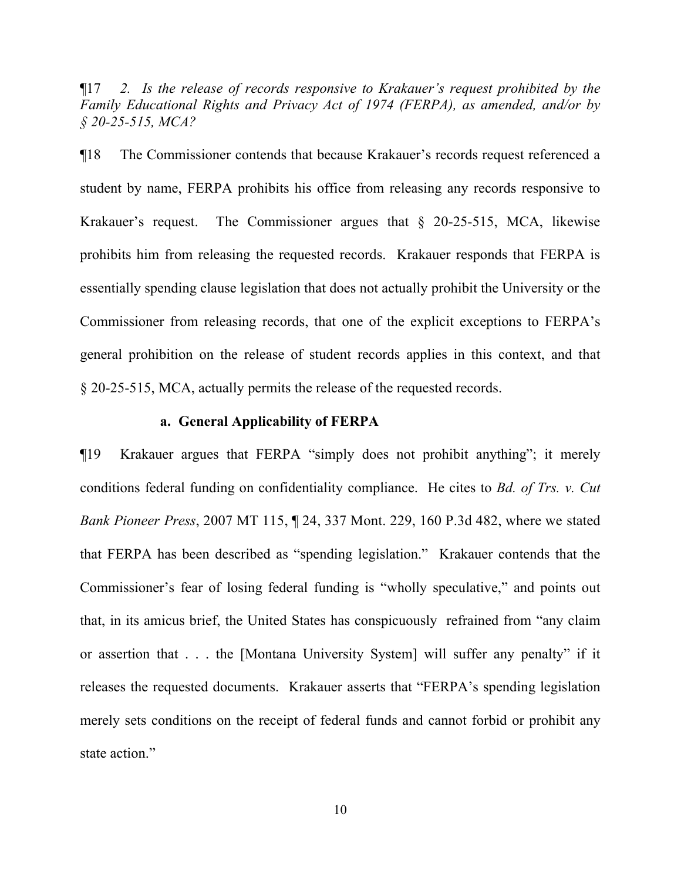¶17 *2. Is the release of records responsive to Krakauer's request prohibited by the Family Educational Rights and Privacy Act of 1974 (FERPA), as amended, and/or by § 20-25-515, MCA?* 

¶18 The Commissioner contends that because Krakauer's records request referenced a student by name, FERPA prohibits his office from releasing any records responsive to Krakauer's request. The Commissioner argues that § 20-25-515, MCA, likewise prohibits him from releasing the requested records. Krakauer responds that FERPA is essentially spending clause legislation that does not actually prohibit the University or the Commissioner from releasing records, that one of the explicit exceptions to FERPA's general prohibition on the release of student records applies in this context, and that § 20-25-515, MCA, actually permits the release of the requested records.

#### **a. General Applicability of FERPA**

¶19 Krakauer argues that FERPA "simply does not prohibit anything"; it merely conditions federal funding on confidentiality compliance. He cites to *Bd. of Trs. v. Cut Bank Pioneer Press*, 2007 MT 115, ¶ 24, 337 Mont. 229, 160 P.3d 482, where we stated that FERPA has been described as "spending legislation." Krakauer contends that the Commissioner's fear of losing federal funding is "wholly speculative," and points out that, in its amicus brief, the United States has conspicuously refrained from "any claim or assertion that . . . the [Montana University System] will suffer any penalty" if it releases the requested documents. Krakauer asserts that "FERPA's spending legislation merely sets conditions on the receipt of federal funds and cannot forbid or prohibit any state action."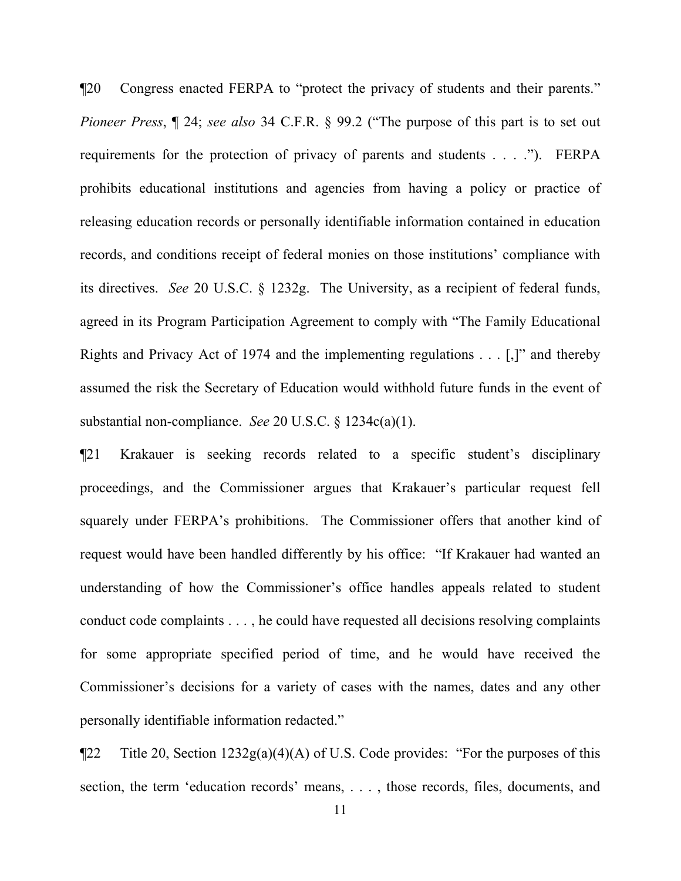¶20 Congress enacted FERPA to "protect the privacy of students and their parents." *Pioneer Press*, ¶ 24; *see also* 34 C.F.R. § 99.2 ("The purpose of this part is to set out requirements for the protection of privacy of parents and students . . . ."). FERPA prohibits educational institutions and agencies from having a policy or practice of releasing education records or personally identifiable information contained in education records, and conditions receipt of federal monies on those institutions' compliance with its directives. *See* 20 U.S.C. § 1232g. The University, as a recipient of federal funds, agreed in its Program Participation Agreement to comply with "The Family Educational Rights and Privacy Act of 1974 and the implementing regulations . . . [,]" and thereby assumed the risk the Secretary of Education would withhold future funds in the event of substantial non-compliance. *See* 20 U.S.C. § 1234c(a)(1).

¶21 Krakauer is seeking records related to a specific student's disciplinary proceedings, and the Commissioner argues that Krakauer's particular request fell squarely under FERPA's prohibitions. The Commissioner offers that another kind of request would have been handled differently by his office: "If Krakauer had wanted an understanding of how the Commissioner's office handles appeals related to student conduct code complaints . . . , he could have requested all decisions resolving complaints for some appropriate specified period of time, and he would have received the Commissioner's decisions for a variety of cases with the names, dates and any other personally identifiable information redacted."

 $\P$ 22 Title 20, Section 1232g(a)(4)(A) of U.S. Code provides: "For the purposes of this section, the term 'education records' means, . . . , those records, files, documents, and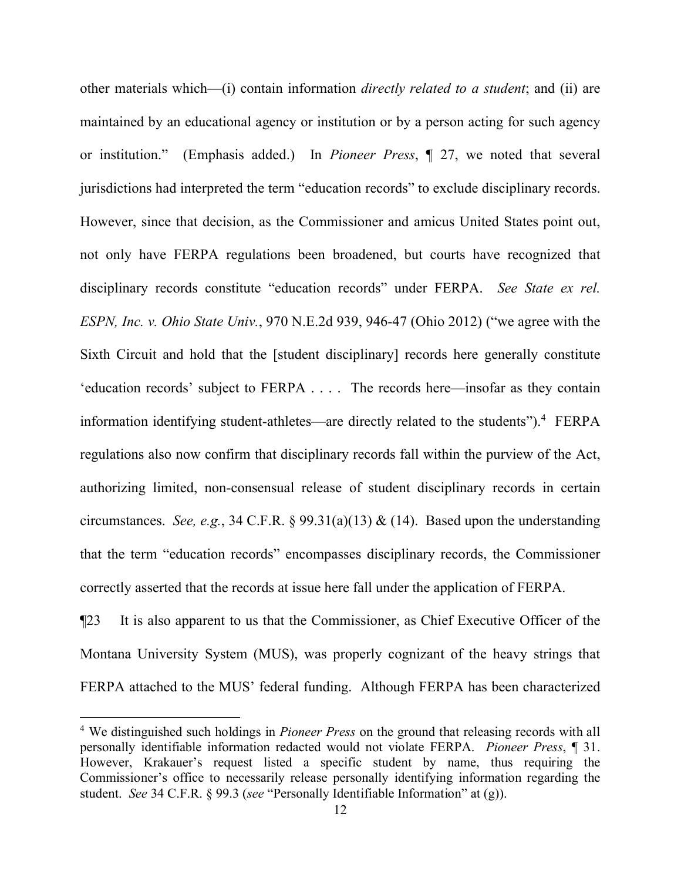other materials which—(i) contain information *directly related to a student*; and (ii) are maintained by an educational agency or institution or by a person acting for such agency or institution." (Emphasis added.) In *Pioneer Press*, ¶ 27, we noted that several jurisdictions had interpreted the term "education records" to exclude disciplinary records. However, since that decision, as the Commissioner and amicus United States point out, not only have FERPA regulations been broadened, but courts have recognized that disciplinary records constitute "education records" under FERPA. *See State ex rel. ESPN, Inc. v. Ohio State Univ.*, 970 N.E.2d 939, 946-47 (Ohio 2012) ("we agree with the Sixth Circuit and hold that the [student disciplinary] records here generally constitute 'education records' subject to FERPA . . . . The records here—insofar as they contain information identifying student-athletes—are directly related to the students").<sup>[4](#page-11-0)</sup> FERPA regulations also now confirm that disciplinary records fall within the purview of the Act, authorizing limited, non-consensual release of student disciplinary records in certain circumstances. *See, e.g.*, 34 C.F.R.  $\S 99.31(a)(13) \& (14)$ . Based upon the understanding that the term "education records" encompasses disciplinary records, the Commissioner correctly asserted that the records at issue here fall under the application of FERPA.

¶23 It is also apparent to us that the Commissioner, as Chief Executive Officer of the Montana University System (MUS), was properly cognizant of the heavy strings that FERPA attached to the MUS' federal funding. Although FERPA has been characterized

<span id="page-11-0"></span><sup>4</sup> We distinguished such holdings in *Pioneer Press* on the ground that releasing records with all personally identifiable information redacted would not violate FERPA. *Pioneer Press*, ¶ 31. However, Krakauer's request listed a specific student by name, thus requiring the Commissioner's office to necessarily release personally identifying information regarding the student. *See* 34 C.F.R. § 99.3 (*see* "Personally Identifiable Information" at (g)).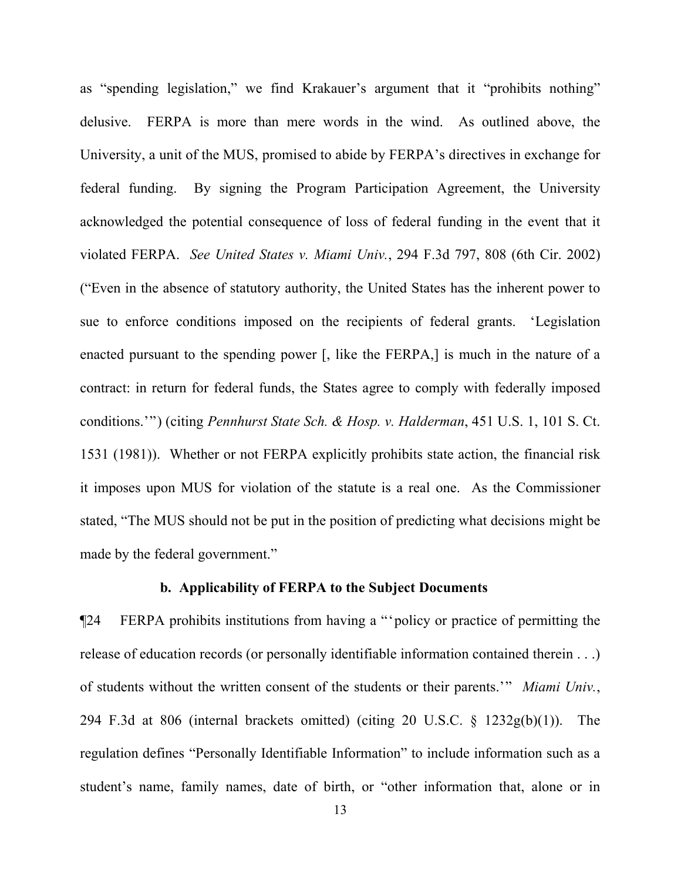as "spending legislation," we find Krakauer's argument that it "prohibits nothing" delusive. FERPA is more than mere words in the wind. As outlined above, the University, a unit of the MUS, promised to abide by FERPA's directives in exchange for federal funding. By signing the Program Participation Agreement, the University acknowledged the potential consequence of loss of federal funding in the event that it violated FERPA. *See United States v. Miami Univ.*, 294 F.3d 797, 808 (6th Cir. 2002) ("Even in the absence of statutory authority, the United States has the inherent power to sue to enforce conditions imposed on the recipients of federal grants. 'Legislation enacted pursuant to the spending power [, like the FERPA,] is much in the nature of a contract: in return for federal funds, the States agree to comply with federally imposed conditions.'") (citing *Pennhurst State Sch. & Hosp. v. Halderman*, 451 U.S. 1, 101 S. Ct. 1531 (1981)). Whether or not FERPA explicitly prohibits state action, the financial risk it imposes upon MUS for violation of the statute is a real one. As the Commissioner stated, "The MUS should not be put in the position of predicting what decisions might be made by the federal government."

## **b. Applicability of FERPA to the Subject Documents**

¶24 FERPA prohibits institutions from having a "'policy or practice of permitting the release of education records (or personally identifiable information contained therein . . .) of students without the written consent of the students or their parents.'" *Miami Univ.*, 294 F.3d at 806 (internal brackets omitted) (citing 20 U.S.C.  $\S$  1232g(b)(1)). The regulation defines "Personally Identifiable Information" to include information such as a student's name, family names, date of birth, or "other information that, alone or in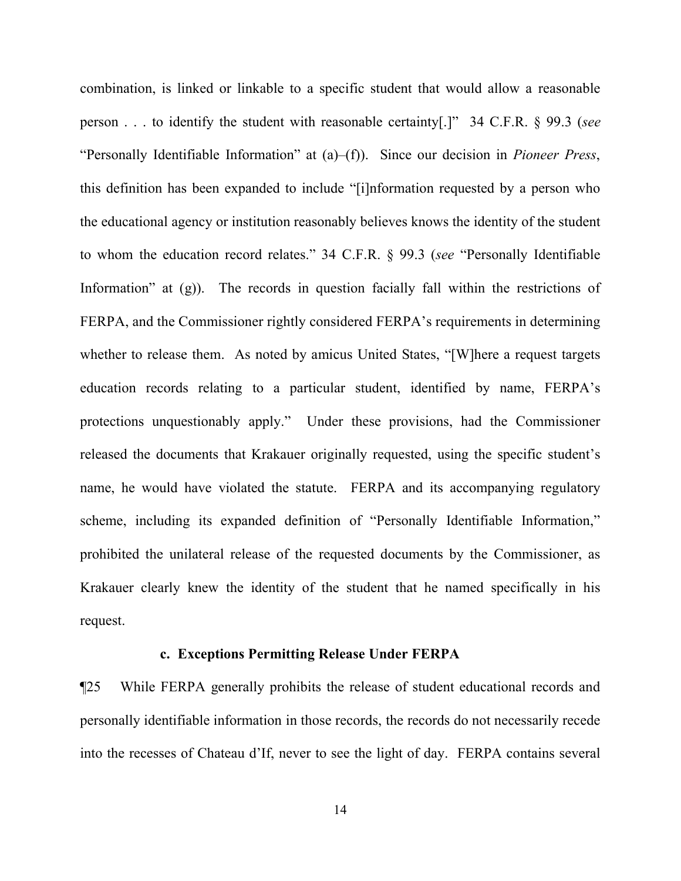combination, is linked or linkable to a specific student that would allow a reasonable person . . . to identify the student with reasonable certainty[.]" 34 C.F.R. § 99.3 (*see* "Personally Identifiable Information" at (a)–(f)). Since our decision in *Pioneer Press*, this definition has been expanded to include "[i]nformation requested by a person who the educational agency or institution reasonably believes knows the identity of the student to whom the education record relates." 34 C.F.R. § 99.3 (*see* "Personally Identifiable Information" at (g)). The records in question facially fall within the restrictions of FERPA, and the Commissioner rightly considered FERPA's requirements in determining whether to release them. As noted by amicus United States, "[W]here a request targets education records relating to a particular student, identified by name, FERPA's protections unquestionably apply." Under these provisions, had the Commissioner released the documents that Krakauer originally requested, using the specific student's name, he would have violated the statute. FERPA and its accompanying regulatory scheme, including its expanded definition of "Personally Identifiable Information," prohibited the unilateral release of the requested documents by the Commissioner, as Krakauer clearly knew the identity of the student that he named specifically in his request.

#### **c. Exceptions Permitting Release Under FERPA**

¶25 While FERPA generally prohibits the release of student educational records and personally identifiable information in those records, the records do not necessarily recede into the recesses of Chateau d'If, never to see the light of day. FERPA contains several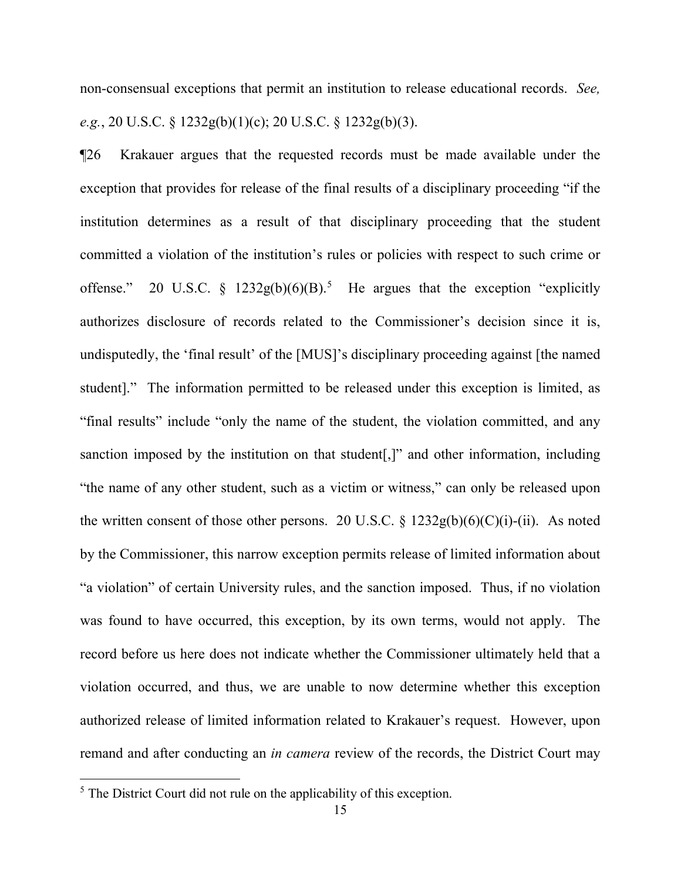non-consensual exceptions that permit an institution to release educational records. *See, e.g.*, 20 U.S.C. § 1232g(b)(1)(c); 20 U.S.C. § 1232g(b)(3).

¶26 Krakauer argues that the requested records must be made available under the exception that provides for release of the final results of a disciplinary proceeding "if the institution determines as a result of that disciplinary proceeding that the student committed a violation of the institution's rules or policies with respect to such crime or offense." 20 U.S.C. §  $1232g(b)(6)(B)^5$  $1232g(b)(6)(B)^5$  He argues that the exception "explicitly authorizes disclosure of records related to the Commissioner's decision since it is, undisputedly, the 'final result' of the [MUS]'s disciplinary proceeding against [the named student]." The information permitted to be released under this exception is limited, as "final results" include "only the name of the student, the violation committed, and any sanction imposed by the institution on that student[,]" and other information, including "the name of any other student, such as a victim or witness," can only be released upon the written consent of those other persons. 20 U.S.C.  $\S$  1232g(b)(6)(C)(i)-(ii). As noted by the Commissioner, this narrow exception permits release of limited information about "a violation" of certain University rules, and the sanction imposed. Thus, if no violation was found to have occurred, this exception, by its own terms, would not apply. The record before us here does not indicate whether the Commissioner ultimately held that a violation occurred, and thus, we are unable to now determine whether this exception authorized release of limited information related to Krakauer's request. However, upon remand and after conducting an *in camera* review of the records, the District Court may

<span id="page-14-0"></span> $<sup>5</sup>$  The District Court did not rule on the applicability of this exception.</sup>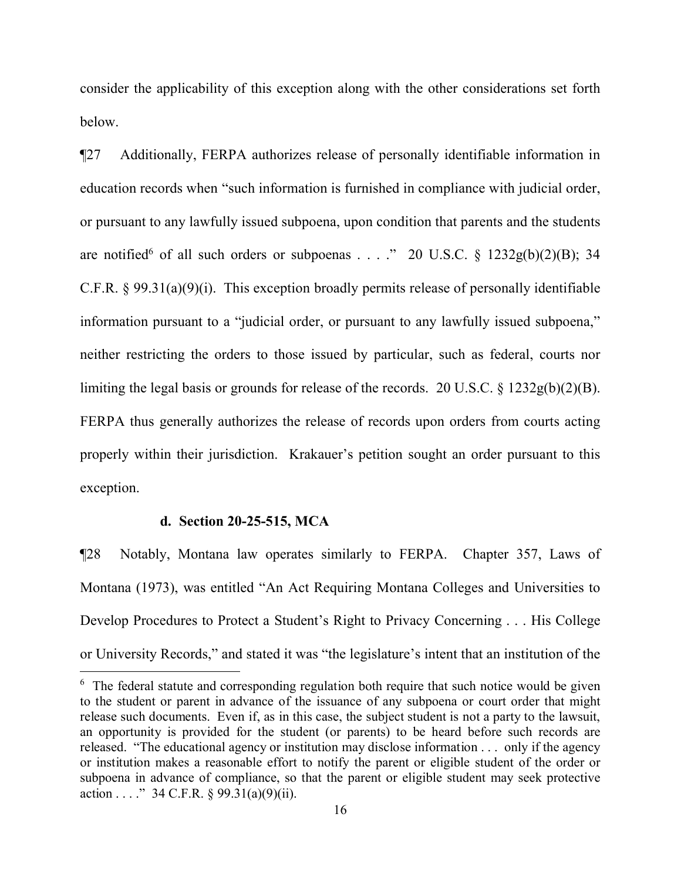consider the applicability of this exception along with the other considerations set forth below.

¶27 Additionally, FERPA authorizes release of personally identifiable information in education records when "such information is furnished in compliance with judicial order, or pursuant to any lawfully issued subpoena, upon condition that parents and the students are notified<sup>[6](#page-15-0)</sup> of all such orders or subpoenas . . . ." 20 U.S.C.  $\frac{1232g(b)(2)(B)}{34}$ C.F.R.  $\S$  99.31(a)(9)(i). This exception broadly permits release of personally identifiable information pursuant to a "judicial order, or pursuant to any lawfully issued subpoena," neither restricting the orders to those issued by particular, such as federal, courts nor limiting the legal basis or grounds for release of the records. 20 U.S.C. § 1232g(b)(2)(B). FERPA thus generally authorizes the release of records upon orders from courts acting properly within their jurisdiction. Krakauer's petition sought an order pursuant to this exception.

## **d. Section 20-25-515, MCA**

 $\overline{a}$ 

¶28 Notably, Montana law operates similarly to FERPA. Chapter 357, Laws of Montana (1973), was entitled "An Act Requiring Montana Colleges and Universities to Develop Procedures to Protect a Student's Right to Privacy Concerning . . . His College or University Records," and stated it was "the legislature's intent that an institution of the

<span id="page-15-0"></span><sup>&</sup>lt;sup>6</sup> The federal statute and corresponding regulation both require that such notice would be given to the student or parent in advance of the issuance of any subpoena or court order that might release such documents. Even if, as in this case, the subject student is not a party to the lawsuit, an opportunity is provided for the student (or parents) to be heard before such records are released. "The educational agency or institution may disclose information . . . only if the agency or institution makes a reasonable effort to notify the parent or eligible student of the order or subpoena in advance of compliance, so that the parent or eligible student may seek protective action . . . . " 34 C.F.R.  $\S 99.31(a)(9)(ii)$ .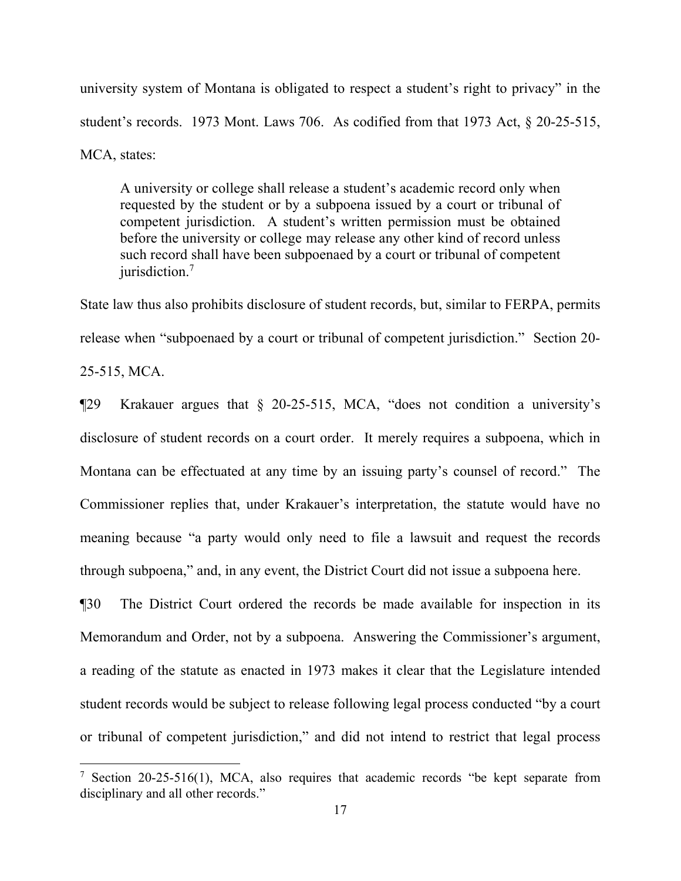university system of Montana is obligated to respect a student's right to privacy" in the student's records. 1973 Mont. Laws 706. As codified from that 1973 Act, § 20-25-515, MCA, states:

A university or college shall release a student's academic record only when requested by the student or by a subpoena issued by a court or tribunal of competent jurisdiction. A student's written permission must be obtained before the university or college may release any other kind of record unless such record shall have been subpoenaed by a court or tribunal of competent jurisdiction.<sup>[7](#page-16-0)</sup>

State law thus also prohibits disclosure of student records, but, similar to FERPA, permits release when "subpoenaed by a court or tribunal of competent jurisdiction." Section 20- 25-515, MCA.

¶29 Krakauer argues that § 20-25-515, MCA, "does not condition a university's disclosure of student records on a court order. It merely requires a subpoena, which in Montana can be effectuated at any time by an issuing party's counsel of record." The Commissioner replies that, under Krakauer's interpretation, the statute would have no meaning because "a party would only need to file a lawsuit and request the records through subpoena," and, in any event, the District Court did not issue a subpoena here.

¶30 The District Court ordered the records be made available for inspection in its Memorandum and Order, not by a subpoena. Answering the Commissioner's argument, a reading of the statute as enacted in 1973 makes it clear that the Legislature intended student records would be subject to release following legal process conducted "by a court or tribunal of competent jurisdiction," and did not intend to restrict that legal process

<span id="page-16-0"></span><sup>&</sup>lt;sup>7</sup> Section 20-25-516(1), MCA, also requires that academic records "be kept separate from disciplinary and all other records."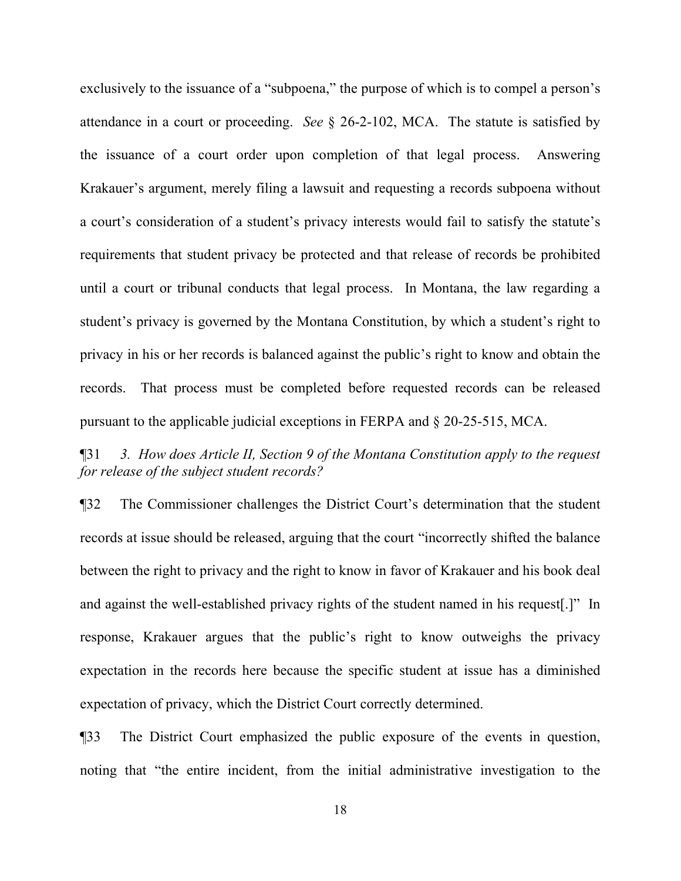exclusively to the issuance of a "subpoena," the purpose of which is to compel a person's attendance in a court or proceeding. *See* § 26-2-102, MCA. The statute is satisfied by the issuance of a court order upon completion of that legal process. Answering Krakauer's argument, merely filing a lawsuit and requesting a records subpoena without a court's consideration of a student's privacy interests would fail to satisfy the statute's requirements that student privacy be protected and that release of records be prohibited until a court or tribunal conducts that legal process. In Montana, the law regarding a student's privacy is governed by the Montana Constitution, by which a student's right to privacy in his or her records is balanced against the public's right to know and obtain the records. That process must be completed before requested records can be released pursuant to the applicable judicial exceptions in FERPA and § 20-25-515, MCA.

¶31 *3. How does Article II, Section 9 of the Montana Constitution apply to the request for release of the subject student records?* 

¶32 The Commissioner challenges the District Court's determination that the student records at issue should be released, arguing that the court "incorrectly shifted the balance between the right to privacy and the right to know in favor of Krakauer and his book deal and against the well-established privacy rights of the student named in his request[.]" In response, Krakauer argues that the public's right to know outweighs the privacy expectation in the records here because the specific student at issue has a diminished expectation of privacy, which the District Court correctly determined.

¶33 The District Court emphasized the public exposure of the events in question, noting that "the entire incident, from the initial administrative investigation to the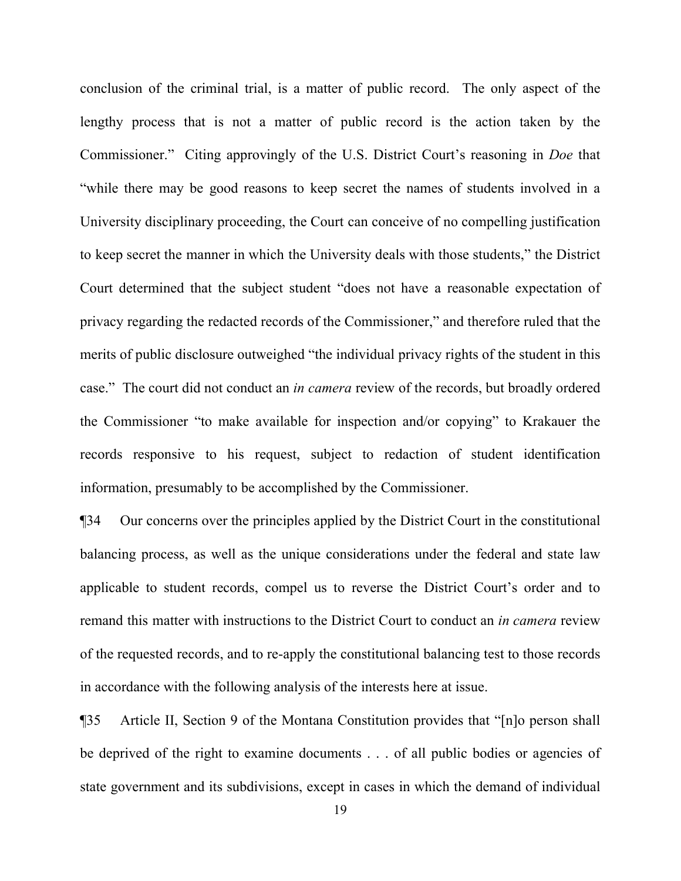conclusion of the criminal trial, is a matter of public record. The only aspect of the lengthy process that is not a matter of public record is the action taken by the Commissioner." Citing approvingly of the U.S. District Court's reasoning in *Doe* that "while there may be good reasons to keep secret the names of students involved in a University disciplinary proceeding, the Court can conceive of no compelling justification to keep secret the manner in which the University deals with those students," the District Court determined that the subject student "does not have a reasonable expectation of privacy regarding the redacted records of the Commissioner," and therefore ruled that the merits of public disclosure outweighed "the individual privacy rights of the student in this case." The court did not conduct an *in camera* review of the records, but broadly ordered the Commissioner "to make available for inspection and/or copying" to Krakauer the records responsive to his request, subject to redaction of student identification information, presumably to be accomplished by the Commissioner.

¶34 Our concerns over the principles applied by the District Court in the constitutional balancing process, as well as the unique considerations under the federal and state law applicable to student records, compel us to reverse the District Court's order and to remand this matter with instructions to the District Court to conduct an *in camera* review of the requested records, and to re-apply the constitutional balancing test to those records in accordance with the following analysis of the interests here at issue.

¶35 Article II, Section 9 of the Montana Constitution provides that "[n]o person shall be deprived of the right to examine documents . . . of all public bodies or agencies of state government and its subdivisions, except in cases in which the demand of individual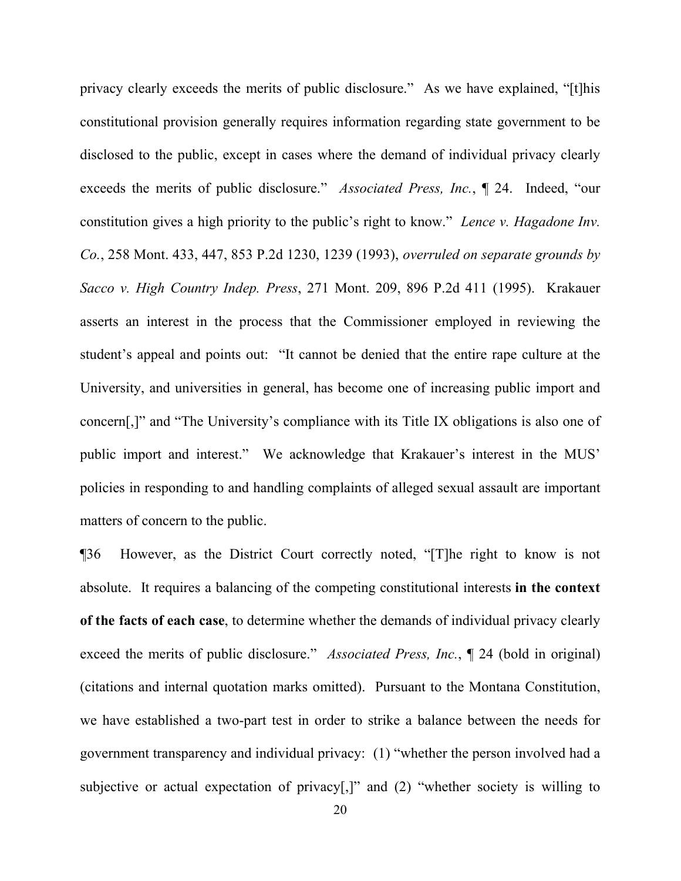privacy clearly exceeds the merits of public disclosure." As we have explained, "[t]his constitutional provision generally requires information regarding state government to be disclosed to the public, except in cases where the demand of individual privacy clearly exceeds the merits of public disclosure." *Associated Press, Inc.*, ¶ 24. Indeed, "our constitution gives a high priority to the public's right to know." *Lence v. Hagadone Inv. Co.*, 258 Mont. 433, 447, 853 P.2d 1230, 1239 (1993), *overruled on separate grounds by Sacco v. High Country Indep. Press*, 271 Mont. 209, 896 P.2d 411 (1995). Krakauer asserts an interest in the process that the Commissioner employed in reviewing the student's appeal and points out: "It cannot be denied that the entire rape culture at the University, and universities in general, has become one of increasing public import and concern[,]" and "The University's compliance with its Title IX obligations is also one of public import and interest." We acknowledge that Krakauer's interest in the MUS' policies in responding to and handling complaints of alleged sexual assault are important matters of concern to the public.

¶36 However, as the District Court correctly noted, "[T]he right to know is not absolute. It requires a balancing of the competing constitutional interests **in the context of the facts of each case**, to determine whether the demands of individual privacy clearly exceed the merits of public disclosure." *Associated Press, Inc.*, ¶ 24 (bold in original) (citations and internal quotation marks omitted). Pursuant to the Montana Constitution, we have established a two-part test in order to strike a balance between the needs for government transparency and individual privacy: (1) "whether the person involved had a subjective or actual expectation of privacy[,]" and (2) "whether society is willing to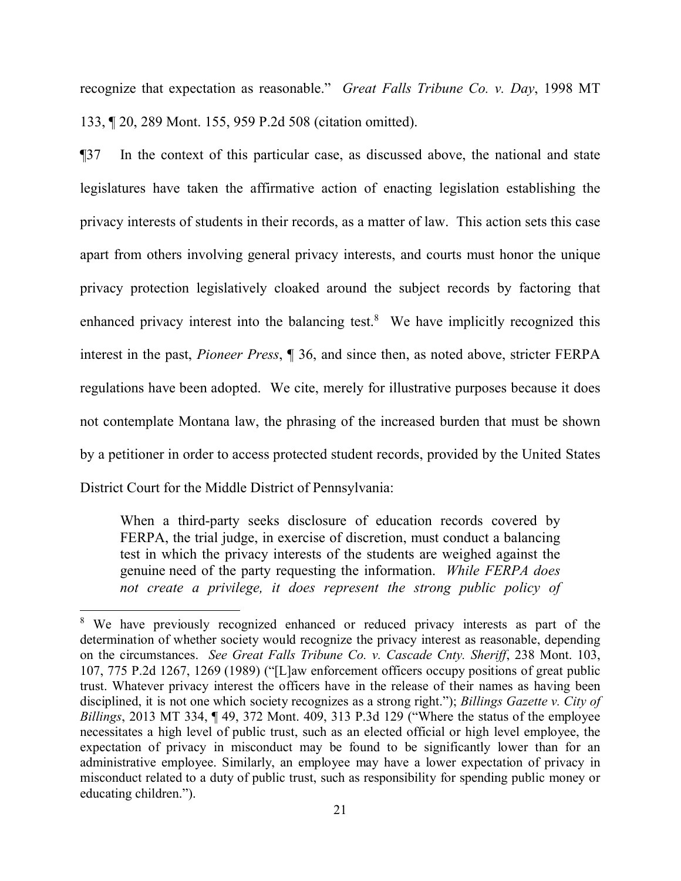recognize that expectation as reasonable." *Great Falls Tribune Co. v. Day*, 1998 MT 133, ¶ 20, 289 Mont. 155, 959 P.2d 508 (citation omitted).

¶37 In the context of this particular case, as discussed above, the national and state legislatures have taken the affirmative action of enacting legislation establishing the privacy interests of students in their records, as a matter of law. This action sets this case apart from others involving general privacy interests, and courts must honor the unique privacy protection legislatively cloaked around the subject records by factoring that enhanced privacy interest into the balancing test.<sup>[8](#page-20-0)</sup> We have implicitly recognized this interest in the past, *Pioneer Press*, ¶ 36, and since then, as noted above, stricter FERPA regulations have been adopted. We cite, merely for illustrative purposes because it does not contemplate Montana law, the phrasing of the increased burden that must be shown by a petitioner in order to access protected student records, provided by the United States District Court for the Middle District of Pennsylvania:

When a third-party seeks disclosure of education records covered by FERPA, the trial judge, in exercise of discretion, must conduct a balancing test in which the privacy interests of the students are weighed against the genuine need of the party requesting the information. *While FERPA does not create a privilege, it does represent the strong public policy of* 

<span id="page-20-0"></span><sup>&</sup>lt;sup>8</sup> We have previously recognized enhanced or reduced privacy interests as part of the determination of whether society would recognize the privacy interest as reasonable, depending on the circumstances. *See Great Falls Tribune Co. v. Cascade Cnty. Sheriff*, 238 Mont. 103, 107, 775 P.2d 1267, 1269 (1989) ("[L]aw enforcement officers occupy positions of great public trust. Whatever privacy interest the officers have in the release of their names as having been disciplined, it is not one which society recognizes as a strong right."); *Billings Gazette v. City of Billings*, 2013 MT 334, ¶ 49, 372 Mont. 409, 313 P.3d 129 ("Where the status of the employee necessitates a high level of public trust, such as an elected official or high level employee, the expectation of privacy in misconduct may be found to be significantly lower than for an administrative employee. Similarly, an employee may have a lower expectation of privacy in misconduct related to a duty of public trust, such as responsibility for spending public money or educating children.").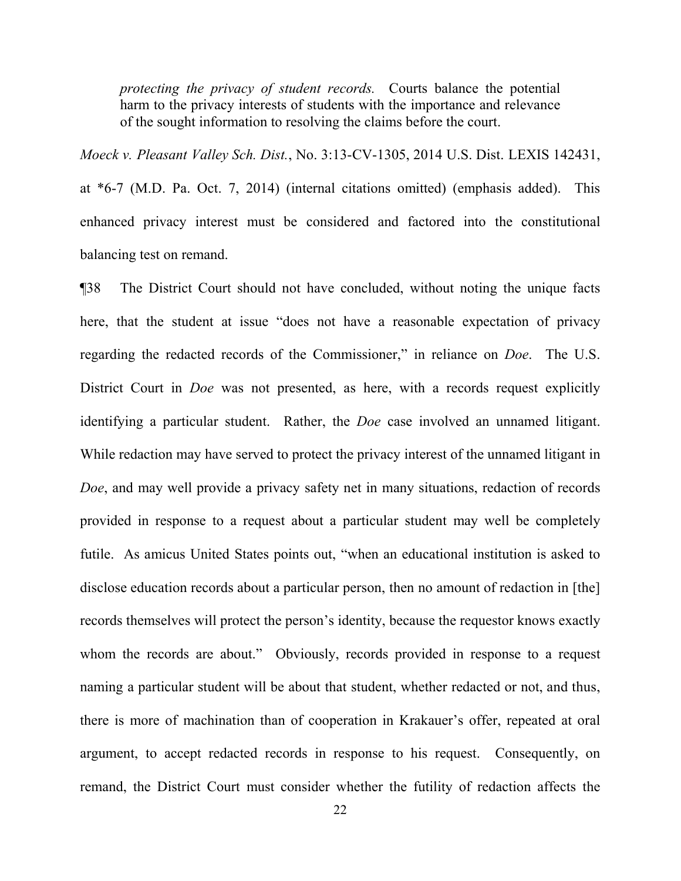*protecting the privacy of student records.* Courts balance the potential harm to the privacy interests of students with the importance and relevance of the sought information to resolving the claims before the court.

*Moeck v. Pleasant Valley Sch. Dist.*, No. 3:13-CV-1305, 2014 U.S. Dist. LEXIS 142431,

at \*6-7 (M.D. Pa. Oct. 7, 2014) (internal citations omitted) (emphasis added). This enhanced privacy interest must be considered and factored into the constitutional balancing test on remand.

¶38 The District Court should not have concluded, without noting the unique facts here, that the student at issue "does not have a reasonable expectation of privacy regarding the redacted records of the Commissioner," in reliance on *Doe*. The U.S. District Court in *Doe* was not presented, as here, with a records request explicitly identifying a particular student. Rather, the *Doe* case involved an unnamed litigant. While redaction may have served to protect the privacy interest of the unnamed litigant in *Doe*, and may well provide a privacy safety net in many situations, redaction of records provided in response to a request about a particular student may well be completely futile. As amicus United States points out, "when an educational institution is asked to disclose education records about a particular person, then no amount of redaction in [the] records themselves will protect the person's identity, because the requestor knows exactly whom the records are about." Obviously, records provided in response to a request naming a particular student will be about that student, whether redacted or not, and thus, there is more of machination than of cooperation in Krakauer's offer, repeated at oral argument, to accept redacted records in response to his request. Consequently, on remand, the District Court must consider whether the futility of redaction affects the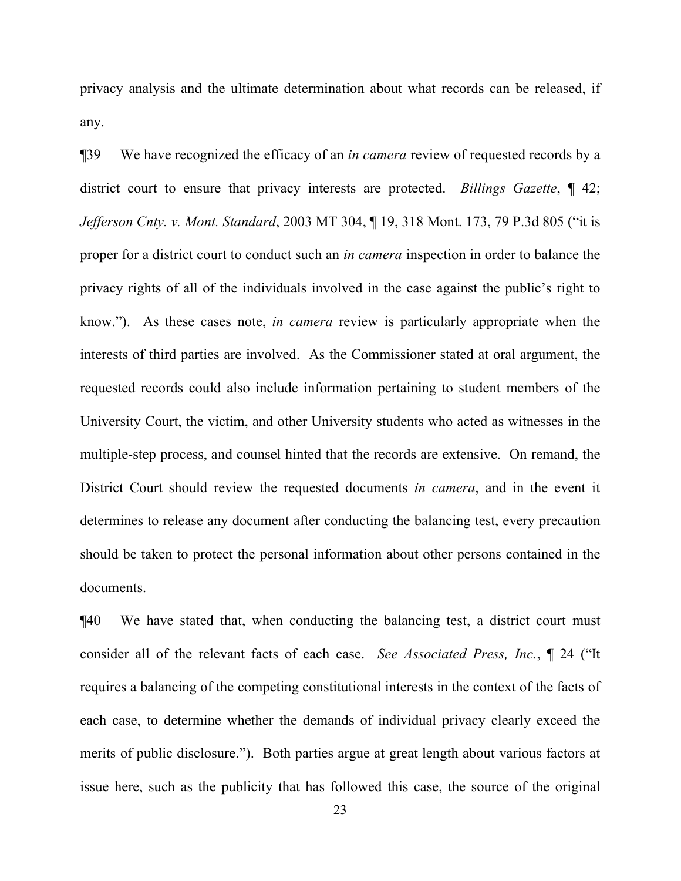privacy analysis and the ultimate determination about what records can be released, if any.

¶39 We have recognized the efficacy of an *in camera* review of requested records by a district court to ensure that privacy interests are protected. *Billings Gazette*, ¶ 42; *Jefferson Cnty. v. Mont. Standard*, 2003 MT 304, ¶ 19, 318 Mont. 173, 79 P.3d 805 ("it is proper for a district court to conduct such an *in camera* inspection in order to balance the privacy rights of all of the individuals involved in the case against the public's right to know."). As these cases note, *in camera* review is particularly appropriate when the interests of third parties are involved. As the Commissioner stated at oral argument, the requested records could also include information pertaining to student members of the University Court, the victim, and other University students who acted as witnesses in the multiple-step process, and counsel hinted that the records are extensive. On remand, the District Court should review the requested documents *in camera*, and in the event it determines to release any document after conducting the balancing test, every precaution should be taken to protect the personal information about other persons contained in the documents.

¶40 We have stated that, when conducting the balancing test, a district court must consider all of the relevant facts of each case. *See Associated Press, Inc.*, ¶ 24 ("It requires a balancing of the competing constitutional interests in the context of the facts of each case, to determine whether the demands of individual privacy clearly exceed the merits of public disclosure."). Both parties argue at great length about various factors at issue here, such as the publicity that has followed this case, the source of the original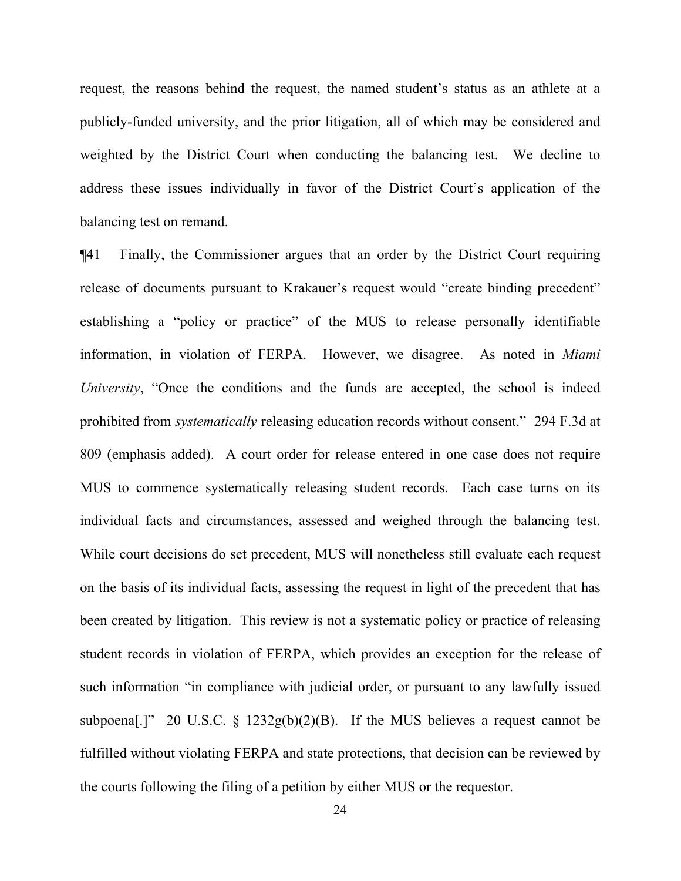request, the reasons behind the request, the named student's status as an athlete at a publicly-funded university, and the prior litigation, all of which may be considered and weighted by the District Court when conducting the balancing test. We decline to address these issues individually in favor of the District Court's application of the balancing test on remand.

¶41 Finally, the Commissioner argues that an order by the District Court requiring release of documents pursuant to Krakauer's request would "create binding precedent" establishing a "policy or practice" of the MUS to release personally identifiable information, in violation of FERPA. However, we disagree. As noted in *Miami University*, "Once the conditions and the funds are accepted, the school is indeed prohibited from *systematically* releasing education records without consent." 294 F.3d at 809 (emphasis added). A court order for release entered in one case does not require MUS to commence systematically releasing student records. Each case turns on its individual facts and circumstances, assessed and weighed through the balancing test. While court decisions do set precedent, MUS will nonetheless still evaluate each request on the basis of its individual facts, assessing the request in light of the precedent that has been created by litigation. This review is not a systematic policy or practice of releasing student records in violation of FERPA, which provides an exception for the release of such information "in compliance with judicial order, or pursuant to any lawfully issued subpoena<sup>[.]"</sup> 20 U.S.C. § 1232g(b)(2)(B). If the MUS believes a request cannot be fulfilled without violating FERPA and state protections, that decision can be reviewed by the courts following the filing of a petition by either MUS or the requestor.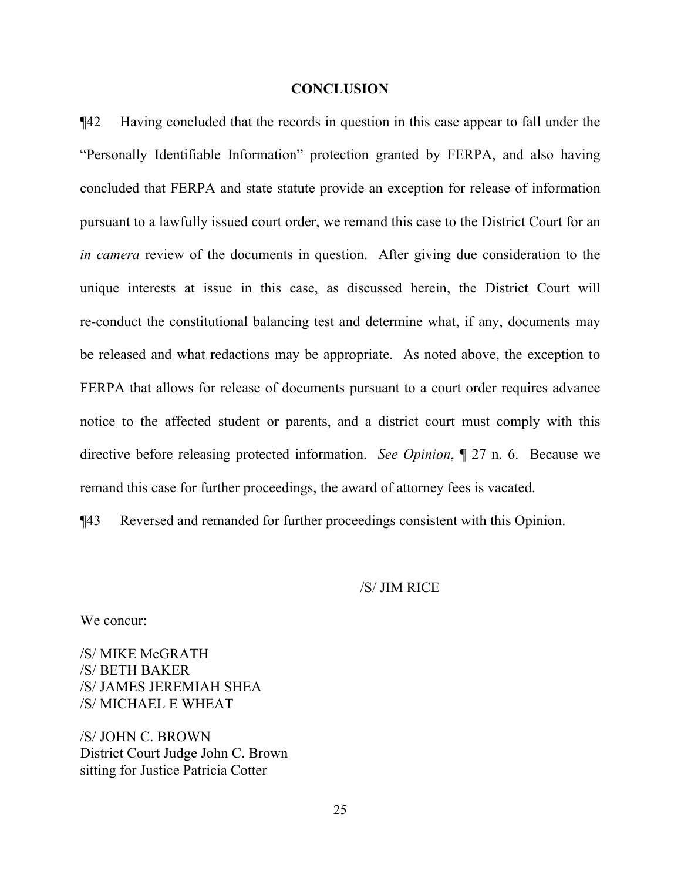#### **CONCLUSION**

¶42 Having concluded that the records in question in this case appear to fall under the "Personally Identifiable Information" protection granted by FERPA, and also having concluded that FERPA and state statute provide an exception for release of information pursuant to a lawfully issued court order, we remand this case to the District Court for an *in camera* review of the documents in question. After giving due consideration to the unique interests at issue in this case, as discussed herein, the District Court will re-conduct the constitutional balancing test and determine what, if any, documents may be released and what redactions may be appropriate. As noted above, the exception to FERPA that allows for release of documents pursuant to a court order requires advance notice to the affected student or parents, and a district court must comply with this directive before releasing protected information. *See Opinion*, ¶ 27 n. 6. Because we remand this case for further proceedings, the award of attorney fees is vacated.

¶43 Reversed and remanded for further proceedings consistent with this Opinion.

### /S/ JIM RICE

We concur:

/S/ MIKE McGRATH /S/ BETH BAKER /S/ JAMES JEREMIAH SHEA /S/ MICHAEL E WHEAT

/S/ JOHN C. BROWN District Court Judge John C. Brown sitting for Justice Patricia Cotter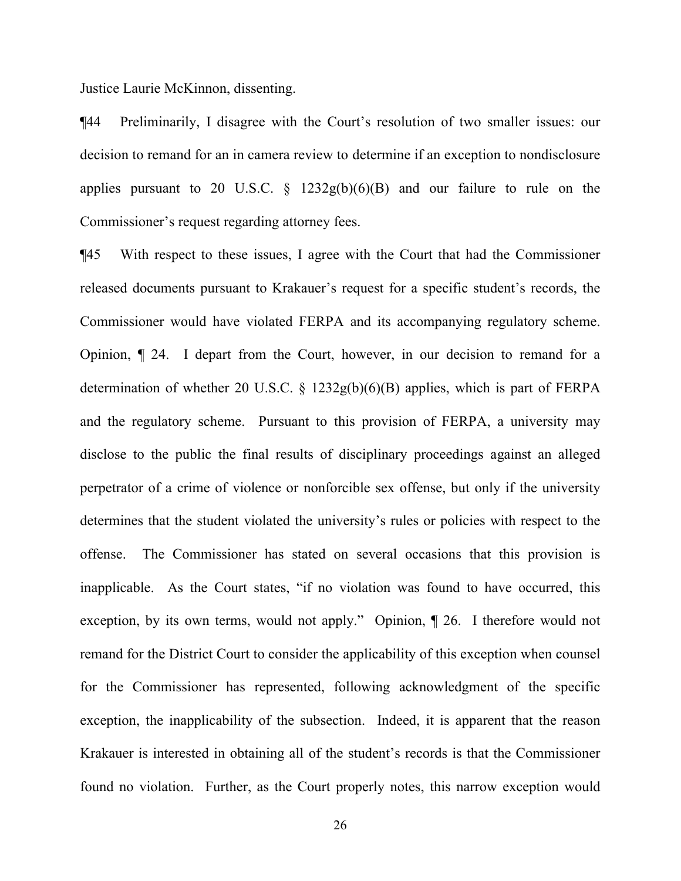Justice Laurie McKinnon, dissenting.

¶44 Preliminarily, I disagree with the Court's resolution of two smaller issues: our decision to remand for an in camera review to determine if an exception to nondisclosure applies pursuant to 20 U.S.C.  $\S$  1232g(b)(6)(B) and our failure to rule on the Commissioner's request regarding attorney fees.

¶45 With respect to these issues, I agree with the Court that had the Commissioner released documents pursuant to Krakauer's request for a specific student's records, the Commissioner would have violated FERPA and its accompanying regulatory scheme. Opinion, ¶ 24. I depart from the Court, however, in our decision to remand for a determination of whether 20 U.S.C. § 1232g(b)(6)(B) applies, which is part of FERPA and the regulatory scheme. Pursuant to this provision of FERPA, a university may disclose to the public the final results of disciplinary proceedings against an alleged perpetrator of a crime of violence or nonforcible sex offense, but only if the university determines that the student violated the university's rules or policies with respect to the offense. The Commissioner has stated on several occasions that this provision is inapplicable. As the Court states, "if no violation was found to have occurred, this exception, by its own terms, would not apply." Opinion, ¶ 26. I therefore would not remand for the District Court to consider the applicability of this exception when counsel for the Commissioner has represented, following acknowledgment of the specific exception, the inapplicability of the subsection. Indeed, it is apparent that the reason Krakauer is interested in obtaining all of the student's records is that the Commissioner found no violation. Further, as the Court properly notes, this narrow exception would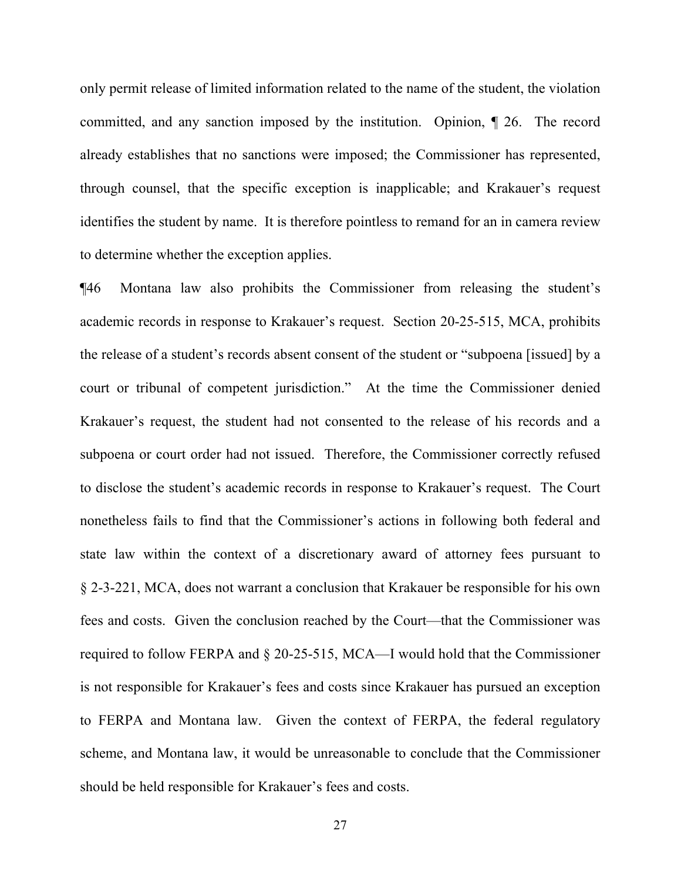only permit release of limited information related to the name of the student, the violation committed, and any sanction imposed by the institution. Opinion, ¶ 26. The record already establishes that no sanctions were imposed; the Commissioner has represented, through counsel, that the specific exception is inapplicable; and Krakauer's request identifies the student by name. It is therefore pointless to remand for an in camera review to determine whether the exception applies.

¶46 Montana law also prohibits the Commissioner from releasing the student's academic records in response to Krakauer's request. Section 20-25-515, MCA, prohibits the release of a student's records absent consent of the student or "subpoena [issued] by a court or tribunal of competent jurisdiction." At the time the Commissioner denied Krakauer's request, the student had not consented to the release of his records and a subpoena or court order had not issued. Therefore, the Commissioner correctly refused to disclose the student's academic records in response to Krakauer's request. The Court nonetheless fails to find that the Commissioner's actions in following both federal and state law within the context of a discretionary award of attorney fees pursuant to § 2-3-221, MCA, does not warrant a conclusion that Krakauer be responsible for his own fees and costs. Given the conclusion reached by the Court—that the Commissioner was required to follow FERPA and § 20-25-515, MCA—I would hold that the Commissioner is not responsible for Krakauer's fees and costs since Krakauer has pursued an exception to FERPA and Montana law. Given the context of FERPA, the federal regulatory scheme, and Montana law, it would be unreasonable to conclude that the Commissioner should be held responsible for Krakauer's fees and costs.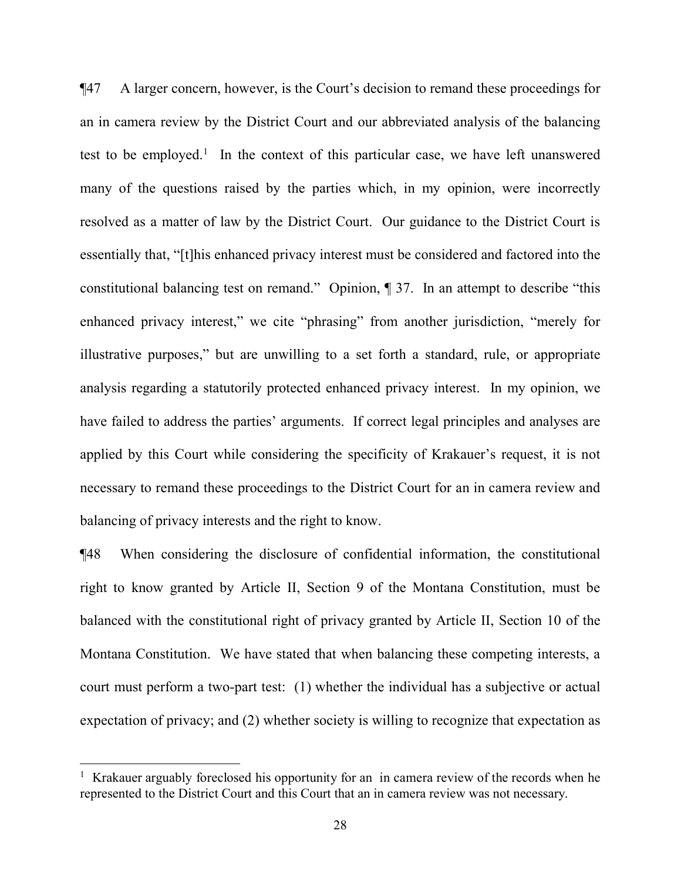¶47 A larger concern, however, is the Court's decision to remand these proceedings for an in camera review by the District Court and our abbreviated analysis of the balancing test to be employed.<sup>[1](#page-27-0)</sup> In the context of this particular case, we have left unanswered many of the questions raised by the parties which, in my opinion, were incorrectly resolved as a matter of law by the District Court. Our guidance to the District Court is essentially that, "[t]his enhanced privacy interest must be considered and factored into the constitutional balancing test on remand." Opinion, ¶ 37. In an attempt to describe "this enhanced privacy interest," we cite "phrasing" from another jurisdiction, "merely for illustrative purposes," but are unwilling to a set forth a standard, rule, or appropriate analysis regarding a statutorily protected enhanced privacy interest. In my opinion, we have failed to address the parties' arguments. If correct legal principles and analyses are applied by this Court while considering the specificity of Krakauer's request, it is not necessary to remand these proceedings to the District Court for an in camera review and balancing of privacy interests and the right to know.

¶48 When considering the disclosure of confidential information, the constitutional right to know granted by Article II, Section 9 of the Montana Constitution, must be balanced with the constitutional right of privacy granted by Article II, Section 10 of the Montana Constitution. We have stated that when balancing these competing interests, a court must perform a two-part test: (1) whether the individual has a subjective or actual expectation of privacy; and (2) whether society is willing to recognize that expectation as

<span id="page-27-0"></span><sup>&</sup>lt;sup>1</sup> Krakauer arguably foreclosed his opportunity for an in camera review of the records when he represented to the District Court and this Court that an in camera review was not necessary.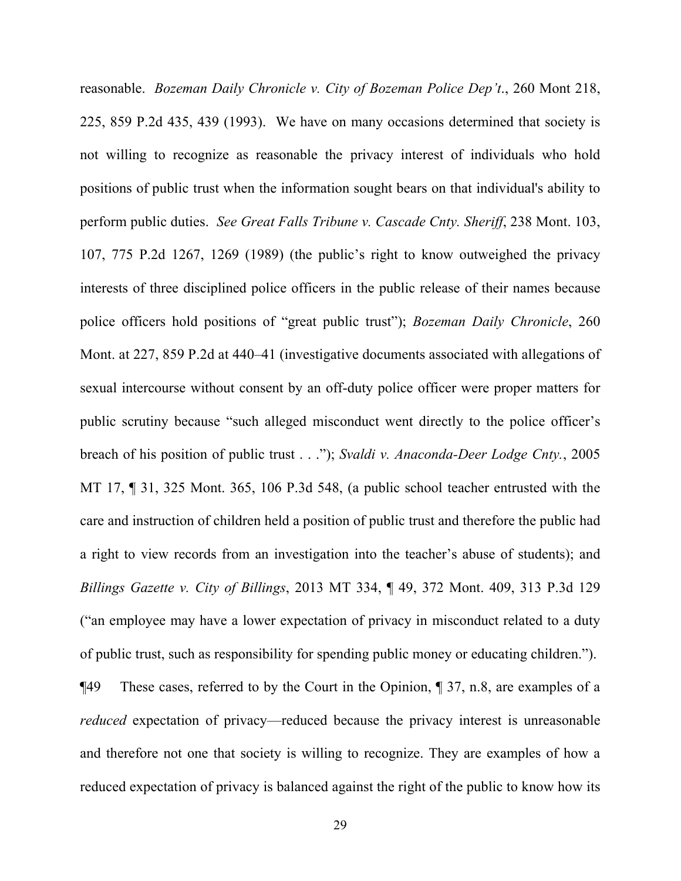reasonable. *Bozeman Daily Chronicle v. City of Bozeman Police Dep't*., 260 Mont 218, 225, 859 P.2d 435, 439 (1993). We have on many occasions determined that society is not willing to recognize as reasonable the privacy interest of individuals who hold positions of public trust when the information sought bears on that individual's ability to perform public duties. *See Great Falls Tribune v. Cascade Cnty. Sheriff*, 238 Mont. 103, 107, 775 P.2d 1267, 1269 (1989) (the public's right to know outweighed the privacy interests of three disciplined police officers in the public release of their names because police officers hold positions of "great public trust"); *Bozeman Daily Chronicle*, 260 Mont. at 227, 859 P.2d at 440–41 (investigative documents associated with allegations of sexual intercourse without consent by an off-duty police officer were proper matters for public scrutiny because "such alleged misconduct went directly to the police officer's breach of his position of public trust . . ."); *Svaldi v. Anaconda-Deer Lodge Cnty.*, 2005 MT 17, ¶ 31, 325 Mont. 365, 106 P.3d 548, (a public school teacher entrusted with the care and instruction of children held a position of public trust and therefore the public had a right to view records from an investigation into the teacher's abuse of students); and *Billings Gazette v. City of Billings*, 2013 MT 334, ¶ 49, 372 Mont. 409, 313 P.3d 129 ("an employee may have a lower expectation of privacy in misconduct related to a duty of public trust, such as responsibility for spending public money or educating children."). ¶49 These cases, referred to by the Court in the Opinion, ¶ 37, n.8, are examples of a *reduced* expectation of privacy—reduced because the privacy interest is unreasonable and therefore not one that society is willing to recognize. They are examples of how a

reduced expectation of privacy is balanced against the right of the public to know how its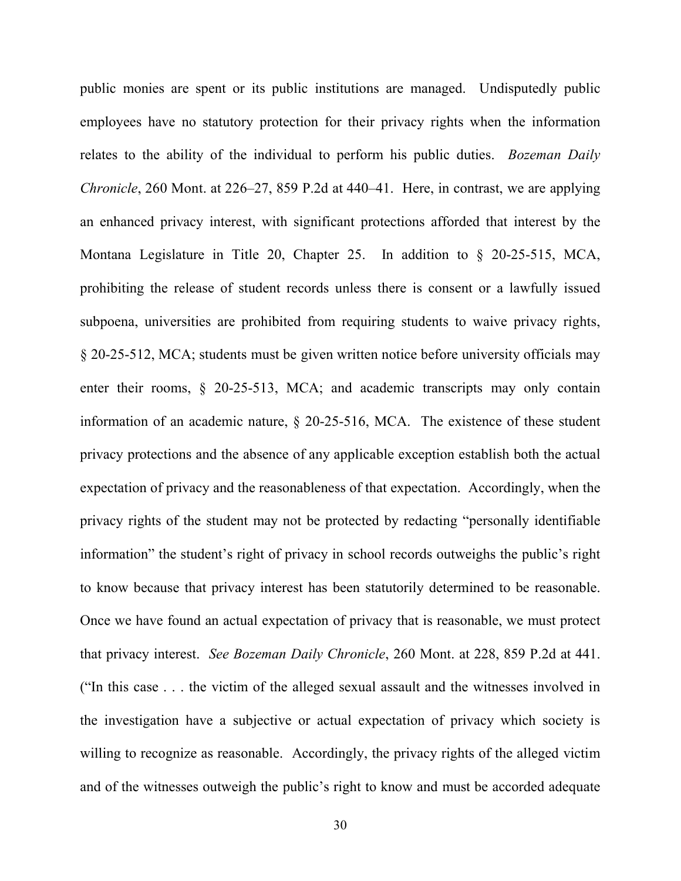public monies are spent or its public institutions are managed. Undisputedly public employees have no statutory protection for their privacy rights when the information relates to the ability of the individual to perform his public duties. *Bozeman Daily Chronicle*, 260 Mont. at 226–27, 859 P.2d at 440–41. Here, in contrast, we are applying an enhanced privacy interest, with significant protections afforded that interest by the Montana Legislature in Title 20, Chapter 25. In addition to § 20-25-515, MCA, prohibiting the release of student records unless there is consent or a lawfully issued subpoena, universities are prohibited from requiring students to waive privacy rights, § 20-25-512, MCA; students must be given written notice before university officials may enter their rooms, § 20-25-513, MCA; and academic transcripts may only contain information of an academic nature, § 20-25-516, MCA. The existence of these student privacy protections and the absence of any applicable exception establish both the actual expectation of privacy and the reasonableness of that expectation. Accordingly, when the privacy rights of the student may not be protected by redacting "personally identifiable information" the student's right of privacy in school records outweighs the public's right to know because that privacy interest has been statutorily determined to be reasonable. Once we have found an actual expectation of privacy that is reasonable, we must protect that privacy interest. *See Bozeman Daily Chronicle*, 260 Mont. at 228, 859 P.2d at 441. ("In this case . . . the victim of the alleged sexual assault and the witnesses involved in the investigation have a subjective or actual expectation of privacy which society is willing to recognize as reasonable. Accordingly, the privacy rights of the alleged victim and of the witnesses outweigh the public's right to know and must be accorded adequate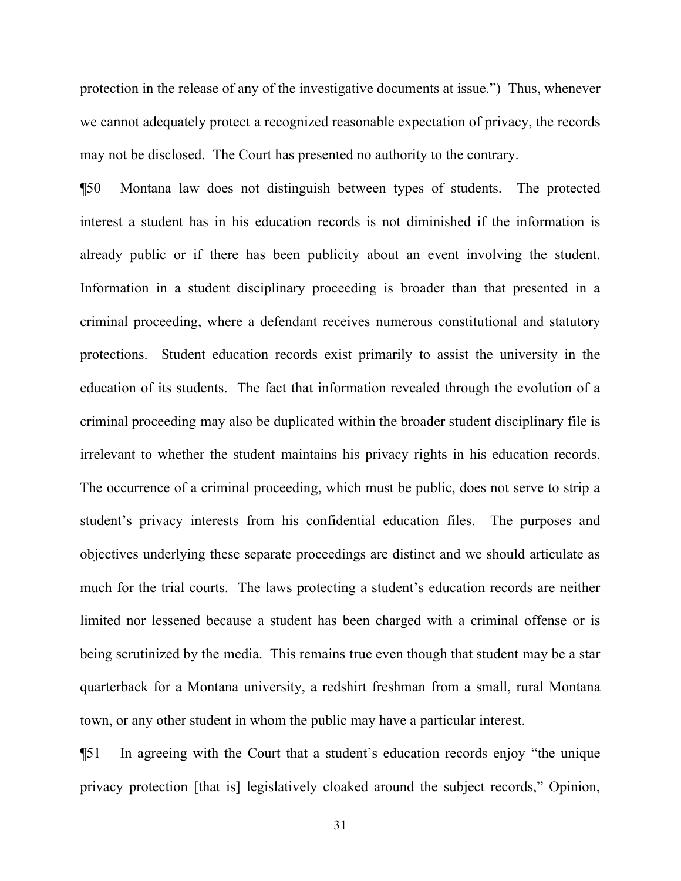protection in the release of any of the investigative documents at issue.") Thus, whenever we cannot adequately protect a recognized reasonable expectation of privacy, the records may not be disclosed. The Court has presented no authority to the contrary.

¶50 Montana law does not distinguish between types of students. The protected interest a student has in his education records is not diminished if the information is already public or if there has been publicity about an event involving the student. Information in a student disciplinary proceeding is broader than that presented in a criminal proceeding, where a defendant receives numerous constitutional and statutory protections. Student education records exist primarily to assist the university in the education of its students. The fact that information revealed through the evolution of a criminal proceeding may also be duplicated within the broader student disciplinary file is irrelevant to whether the student maintains his privacy rights in his education records. The occurrence of a criminal proceeding, which must be public, does not serve to strip a student's privacy interests from his confidential education files. The purposes and objectives underlying these separate proceedings are distinct and we should articulate as much for the trial courts. The laws protecting a student's education records are neither limited nor lessened because a student has been charged with a criminal offense or is being scrutinized by the media. This remains true even though that student may be a star quarterback for a Montana university, a redshirt freshman from a small, rural Montana town, or any other student in whom the public may have a particular interest.

¶51 In agreeing with the Court that a student's education records enjoy "the unique privacy protection [that is] legislatively cloaked around the subject records," Opinion,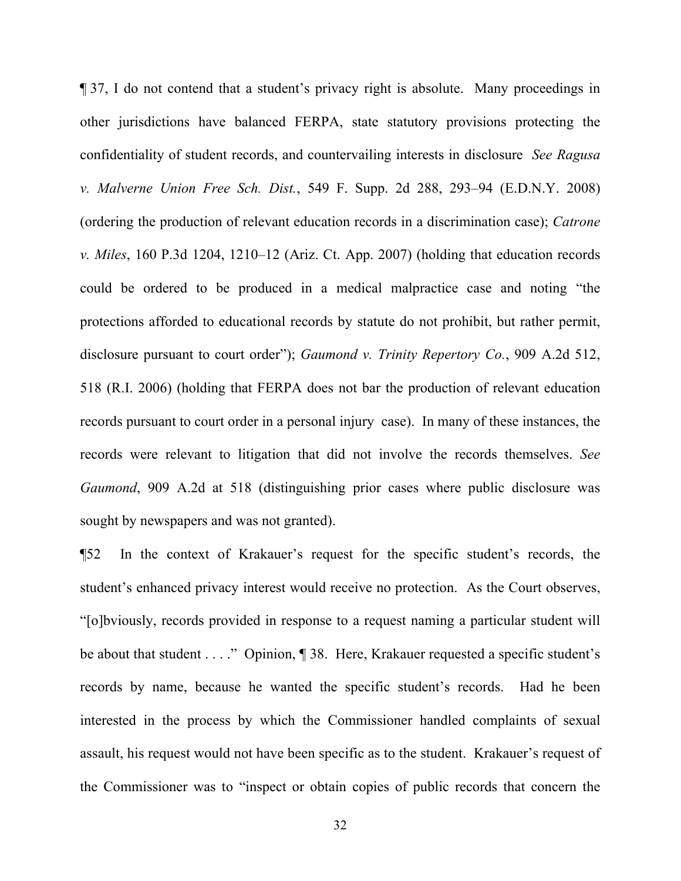¶ 37, I do not contend that a student's privacy right is absolute. Many proceedings in other jurisdictions have balanced FERPA, state statutory provisions protecting the confidentiality of student records, and countervailing interests in disclosure *See Ragusa v. Malverne Union Free Sch. Dist.*, 549 F. Supp. 2d 288, 293–94 (E.D.N.Y. 2008) (ordering the production of relevant education records in a discrimination case); *Catrone v. Miles*, 160 P.3d 1204, 1210–12 (Ariz. Ct. App. 2007) (holding that education records could be ordered to be produced in a medical malpractice case and noting "the protections afforded to educational records by statute do not prohibit, but rather permit, disclosure pursuant to court order"); *Gaumond v. Trinity Repertory Co.*, 909 A.2d 512, 518 (R.I. 2006) (holding that FERPA does not bar the production of relevant education records pursuant to court order in a personal injury case). In many of these instances, the records were relevant to litigation that did not involve the records themselves. *See Gaumond*, 909 A.2d at 518 (distinguishing prior cases where public disclosure was sought by newspapers and was not granted).

¶52 In the context of Krakauer's request for the specific student's records, the student's enhanced privacy interest would receive no protection. As the Court observes, "[o]bviously, records provided in response to a request naming a particular student will be about that student . . . ." Opinion, ¶ 38. Here, Krakauer requested a specific student's records by name, because he wanted the specific student's records. Had he been interested in the process by which the Commissioner handled complaints of sexual assault, his request would not have been specific as to the student. Krakauer's request of the Commissioner was to "inspect or obtain copies of public records that concern the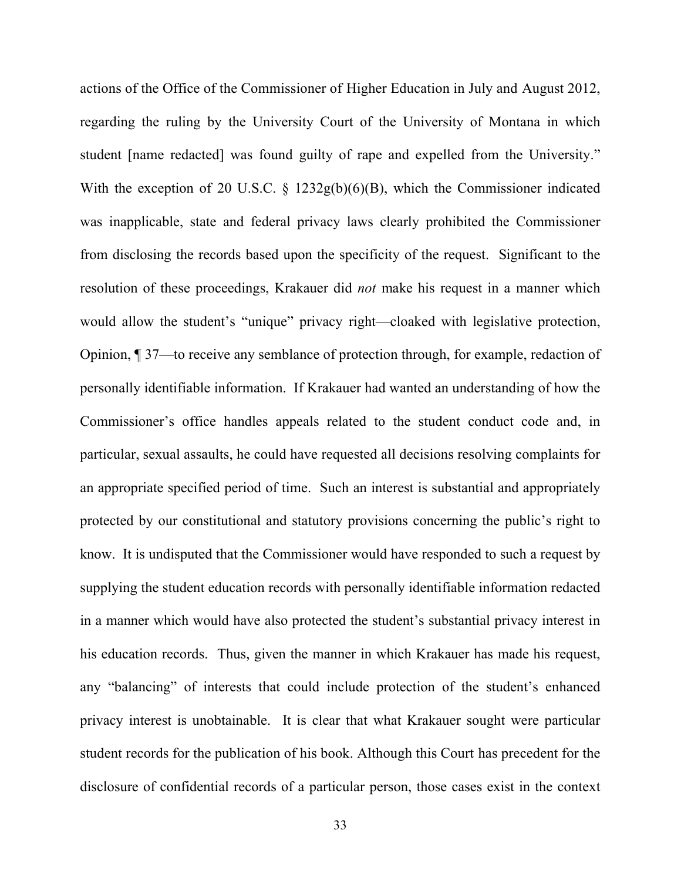actions of the Office of the Commissioner of Higher Education in July and August 2012, regarding the ruling by the University Court of the University of Montana in which student [name redacted] was found guilty of rape and expelled from the University." With the exception of 20 U.S.C. § 1232g(b)(6)(B), which the Commissioner indicated was inapplicable, state and federal privacy laws clearly prohibited the Commissioner from disclosing the records based upon the specificity of the request. Significant to the resolution of these proceedings, Krakauer did *not* make his request in a manner which would allow the student's "unique" privacy right—cloaked with legislative protection, Opinion, ¶ 37—to receive any semblance of protection through, for example, redaction of personally identifiable information. If Krakauer had wanted an understanding of how the Commissioner's office handles appeals related to the student conduct code and, in particular, sexual assaults, he could have requested all decisions resolving complaints for an appropriate specified period of time. Such an interest is substantial and appropriately protected by our constitutional and statutory provisions concerning the public's right to know. It is undisputed that the Commissioner would have responded to such a request by supplying the student education records with personally identifiable information redacted in a manner which would have also protected the student's substantial privacy interest in his education records. Thus, given the manner in which Krakauer has made his request, any "balancing" of interests that could include protection of the student's enhanced privacy interest is unobtainable. It is clear that what Krakauer sought were particular student records for the publication of his book. Although this Court has precedent for the disclosure of confidential records of a particular person, those cases exist in the context